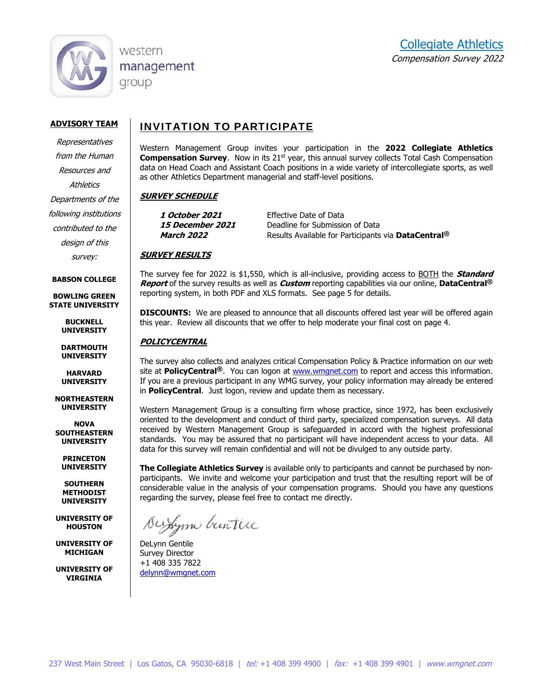

western management group

#### **ADVISORY TEAM**

Representatives from the Human Resources and **Athletics** Departments of the following institutions contributed to the design of this

survey:

#### **BABSON COLLEGE**

**BOWLING GREEN STATE UNIVERSITY** 

> **BUCKNELL UNIVERSITY**

**DARTMOUTH UNIVERSITY** 

**HARVARD UNIVERSITY** 

**NORTHEASTERN UNIVERSITY** 

**NOVA SOUTHEASTERN UNIVERSITY** 

**PRINCETON UNIVERSITY** 

**SOUTHERN METHODIST UNIVERSITY** 

**UNIVERSITY OF HOUSTON** 

**UNIVERSITY OF MICHIGAN** 

**UNIVERSITY OF VIRGINIA** 

## INVITATION TO PARTICIPATE

Western Management Group invites your participation in the **2022 Collegiate Athletics Compensation Survey.** Now in its 21<sup>st</sup> year, this annual survey collects Total Cash Compensation data on Head Coach and Assistant Coach positions in a wide variety of intercollegiate sports, as well as other Athletics Department managerial and staff-level positions.

#### **SURVEY SCHEDULE**

**1 October 2021** Effective Date of Data 15 **December 2021** Deadline for Submission of Data **March 2022 Results Available for Participants via DataCentral<sup>®</sup>** 

#### **SURVEY RESULTS**

The survey fee for 2022 is \$1,550, which is all-inclusive, providing access to BOTH the **Standard Report** of the survey results as well as **Custom** reporting capabilities via our online, **DataCentral®** reporting system, in both PDF and XLS formats. See page 5 for details.

**DISCOUNTS:** We are pleased to announce that all discounts offered last year will be offered again this year. Review all discounts that we offer to help moderate your final cost on page 4.

#### **POLICYCENTRAL**

The survey also collects and analyzes critical Compensation Policy & Practice information on our web site at **PolicyCentral®**. You can logon at www.wmgnet.com to report and access this information. If you are a previous participant in any WMG survey, your policy information may already be entered in **PolicyCentral**. Just logon, review and update them as necessary.

Western Management Group is a consulting firm whose practice, since 1972, has been exclusively oriented to the development and conduct of third party, specialized compensation surveys. All data received by Western Management Group is safeguarded in accord with the highest professional standards. You may be assured that no participant will have independent access to your data. All data for this survey will remain confidential and will not be divulged to any outside party.

**The Collegiate Athletics Survey** is available only to participants and cannot be purchased by nonparticipants. We invite and welcome your participation and trust that the resulting report will be of considerable value in the analysis of your compensation programs. Should you have any questions regarding the survey, please feel free to contact me directly.

Duxyme buntice

DeLynn Gentile Survey Director +1 408 335 7822 delynn@wmgnet.com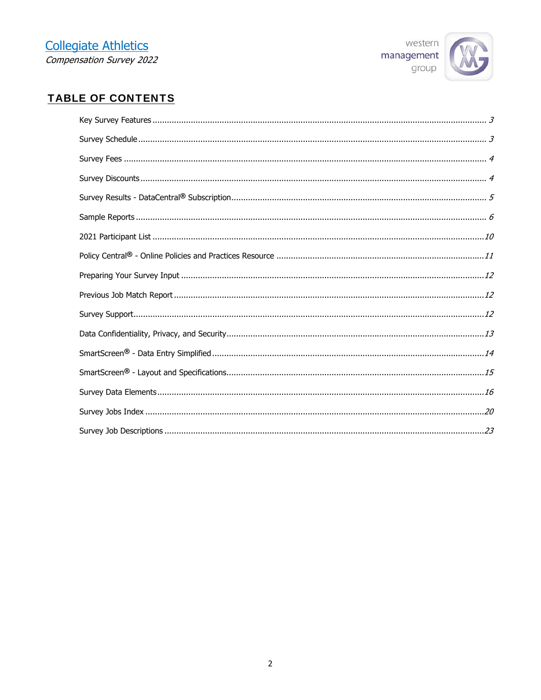

## **TABLE OF CONTENTS**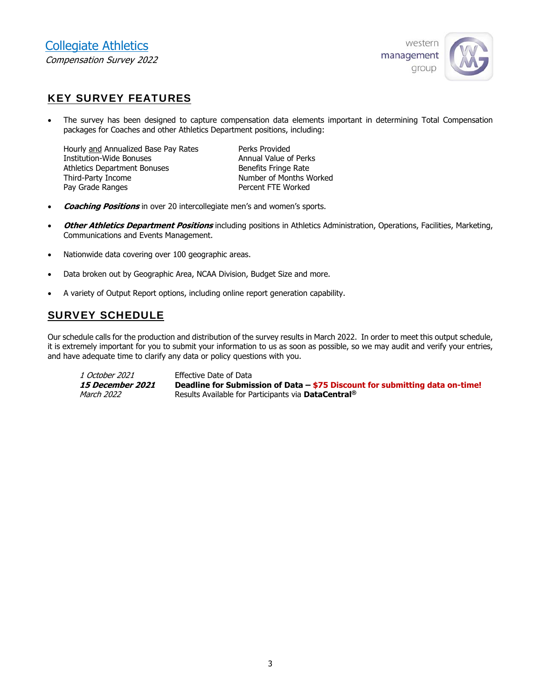

## KEY SURVEY FEATURES

 The survey has been designed to capture compensation data elements important in determining Total Compensation packages for Coaches and other Athletics Department positions, including:

Hourly and Annualized Base Pay Rates Perks Provided Institution-Wide Bonuses **Annual Value of Perks** Athletics Department Bonuses **Benefits Fringe Rate** Third-Party Income Number of Months Worked Pay Grade Ranges **Percent FTE Worked** 

- **Coaching Positions** in over 20 intercollegiate men's and women's sports.
- **Other Athletics Department Positions** including positions in Athletics Administration, Operations, Facilities, Marketing, Communications and Events Management.
- Nationwide data covering over 100 geographic areas.
- Data broken out by Geographic Area, NCAA Division, Budget Size and more.
- A variety of Output Report options, including online report generation capability.

## SURVEY SCHEDULE

Our schedule calls for the production and distribution of the survey results in March 2022. In order to meet this output schedule, it is extremely important for you to submit your information to us as soon as possible, so we may audit and verify your entries, and have adequate time to clarify any data or policy questions with you.

1 October 2021 **Effective Date of Data 15 December 2021 Deadline for Submission of Data – \$75 Discount for submitting data on-time!** March 2022 Results Available for Participants via **DataCentral®**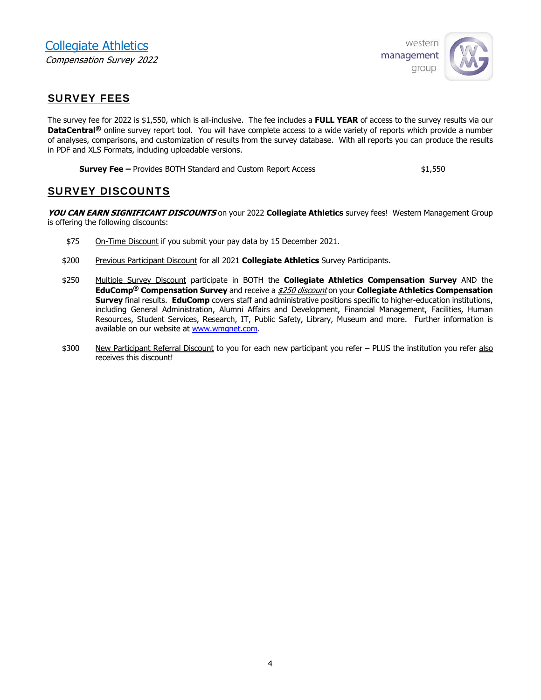

## SURVEY FEES

The survey fee for 2022 is \$1,550, which is all-inclusive. The fee includes a **FULL YEAR** of access to the survey results via our **DataCentral®** online survey report tool. You will have complete access to a wide variety of reports which provide a number of analyses, comparisons, and customization of results from the survey database. With all reports you can produce the results in PDF and XLS Formats, including uploadable versions.

**Survey Fee –** Provides BOTH Standard and Custom Report Access  $\text{1,550}$ 

## SURVEY DISCOUNTS

**YOU CAN EARN SIGNIFICANT DISCOUNTS** on your 2022 **Collegiate Athletics** survey fees! Western Management Group is offering the following discounts:

- \$75 On-Time Discount if you submit your pay data by 15 December 2021.
- \$200 Previous Participant Discount for all 2021 **Collegiate Athletics** Survey Participants.
- \$250 Multiple Survey Discount participate in BOTH the **Collegiate Athletics Compensation Survey** AND the **EduComp® Compensation Survey** and receive a \$250 discount on your **Collegiate Athletics Compensation Survey** final results. **EduComp** covers staff and administrative positions specific to higher-education institutions, including General Administration, Alumni Affairs and Development, Financial Management, Facilities, Human Resources, Student Services, Research, IT, Public Safety, Library, Museum and more. Further information is available on our website at www.wmgnet.com.
- \$300 New Participant Referral Discount to you for each new participant you refer PLUS the institution you refer also receives this discount!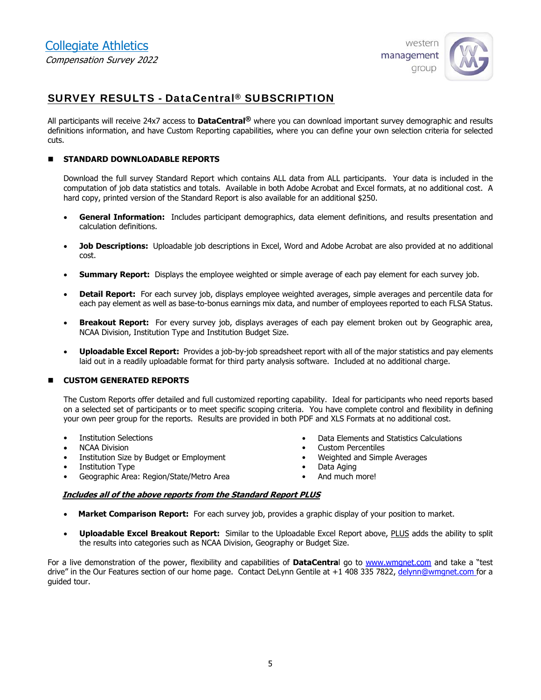

## SURVEY RESULTS - DataCentral® SUBSCRIPTION

All participants will receive 24x7 access to **DataCentral®** where you can download important survey demographic and results definitions information, and have Custom Reporting capabilities, where you can define your own selection criteria for selected cuts.

#### **STANDARD DOWNLOADABLE REPORTS**

Download the full survey Standard Report which contains ALL data from ALL participants. Your data is included in the computation of job data statistics and totals. Available in both Adobe Acrobat and Excel formats, at no additional cost. A hard copy, printed version of the Standard Report is also available for an additional \$250.

- **General Information:** Includes participant demographics, data element definitions, and results presentation and calculation definitions.
- **Job Descriptions:** Uploadable job descriptions in Excel, Word and Adobe Acrobat are also provided at no additional cost.
- **Summary Report:** Displays the employee weighted or simple average of each pay element for each survey job.
- **Detail Report:** For each survey job, displays employee weighted averages, simple averages and percentile data for each pay element as well as base-to-bonus earnings mix data, and number of employees reported to each FLSA Status.
- **Breakout Report:** For every survey job, displays averages of each pay element broken out by Geographic area, NCAA Division, Institution Type and Institution Budget Size.
- **Uploadable Excel Report:** Provides a job-by-job spreadsheet report with all of the major statistics and pay elements laid out in a readily uploadable format for third party analysis software. Included at no additional charge.

#### **CUSTOM GENERATED REPORTS**

The Custom Reports offer detailed and full customized reporting capability. Ideal for participants who need reports based on a selected set of participants or to meet specific scoping criteria. You have complete control and flexibility in defining your own peer group for the reports. Results are provided in both PDF and XLS Formats at no additional cost.

- **Institution Selections**
- NCAA Division
- Institution Size by Budget or Employment
- Institution Type
- Geographic Area: Region/State/Metro Area
- Data Elements and Statistics Calculations
- Custom Percentiles
- Weighted and Simple Averages
- Data Aging
- And much more!

#### **Includes all of the above reports from the Standard Report PLUS**

- **Market Comparison Report:** For each survey job, provides a graphic display of your position to market.
- **Uploadable Excel Breakout Report:** Similar to the Uploadable Excel Report above, PLUS adds the ability to split the results into categories such as NCAA Division, Geography or Budget Size.

For a live demonstration of the power, flexibility and capabilities of **DataCentra**l go to www.wmgnet.com and take a "test drive" in the Our Features section of our home page. Contact DeLynn Gentile at +1 408 335 7822, delynn@wmgnet.com for a guided tour.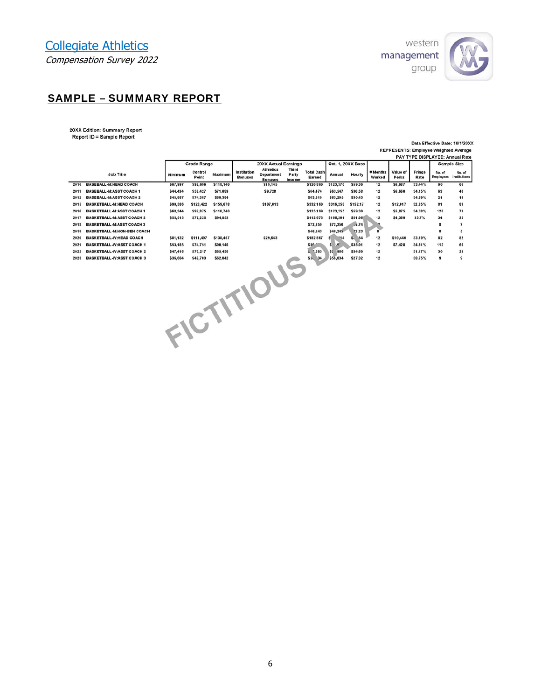

## SAMPLE – SUMMARY REPORT

20XX Edition: Summary Report<br>Report ID = Sample Report

Data Effective Date: 10/1/20XX REPRESENTS: Employee Weighted Average<br>PAY TYPE DISPLAYED: Annual Rate

|      |                                   |          | <b>Grade Range</b> |           |                    | <b>20XX Actual Earnings</b> |              |                   | Oct. 1, 20XX Base      |                   |              |          |        | <b>FAILIFE DISFLAILD. AIIIUGI ROLO</b> | <b>Sample Size</b> |
|------|-----------------------------------|----------|--------------------|-----------|--------------------|-----------------------------|--------------|-------------------|------------------------|-------------------|--------------|----------|--------|----------------------------------------|--------------------|
|      |                                   |          |                    |           |                    | <b>Athletics</b>            | <b>Third</b> |                   |                        |                   |              |          |        |                                        |                    |
|      | Job Title                         | Minimum  | Control            | Maximum   | <b>Institution</b> | <b>Department</b>           | Party        | <b>Total Cash</b> | Annual                 | Hourly            | # Months     | Value of | Fringe | No. of                                 | No. of             |
|      |                                   |          | Point              |           | <b>Bonuses</b>     | <b>Bonuses</b>              | Income       | Earned            |                        |                   | Worked       | Perks    | Rate   | Employees                              | Institutions       |
| 2010 | <b>BASEBALL-M:HEAD COACH</b>      | \$67,997 | \$92,696           | \$118,140 |                    | \$19,145                    |              | \$126,800         | \$123,376              | \$59.36           | 12           | \$6,687  | 33.44% | 66                                     | 66                 |
| 2011 | <b>BASEBALL-M:ASST COACH 1</b>    | \$44,434 | \$58,427           | \$71,089  |                    | \$9,728                     |              | \$64,474          | \$63,547               | \$30.58           | 12           | \$6,660  | 34.15% | 63                                     | 48                 |
| 2012 | <b>BASEBALL-M:ASST COACH 2</b>    | \$45,987 | \$74,387           | \$89,394  |                    |                             |              | \$63,319          | \$63,295               | \$30.43           | 12           |          | 34.69% | 21                                     | 19                 |
| 2015 | <b>BASKETBALL-M:HEAD COACH</b>    | \$90,586 | \$128,422          | \$159,678 |                    | \$107,013                   |              | \$332,160         | \$316,258              | \$152.17          | 12           | \$12,017 | 32.85% | 81                                     | 81                 |
| 2016 | <b>BASKETBALL-M:ASST COACH 1</b>  | \$68,344 | \$92,875           | \$110,740 |                    |                             |              | \$125,199         | \$123,255              | \$59.30           | 12           | \$5,875  | 34,38% | 120                                    | 71                 |
| 2017 | <b>BASKETBALL-M:ASST COACH 2</b>  | \$55,515 | \$77,225           | \$94,852  |                    |                             |              | \$112,675         | \$106,201              | \$51.06           | 12           | \$4,369  | 33.7%  | 34                                     | 25                 |
| 2018 | <b>BASKETBALL-M:ASST COACH 3</b>  |          |                    |           |                    |                             |              | \$72,250          | \$72,250               | .4.74             |              |          |        | 8                                      | $\overline{z}$     |
| 2019 | <b>BASKETBALL-M:NON-BEN COACH</b> |          |                    |           |                    |                             |              | \$46,243          | \$46,243               | <sup>2</sup> 2.23 | $\mathbf{8}$ |          |        | $\mathbf{R}$                           | 5                  |
| 2020 | <b>BASKETBALL-W:HEAD COACH</b>    | \$81,132 | \$111,497          | \$138,467 |                    | \$29,643                    |              | \$182,867         | $^{\circ}14$<br>s      | $S_{1}$<br>54     | 12           | \$10,440 | 33.19% | 82                                     | 82                 |
| 2021 | <b>BASKETBALL-W:ASST COACH 1</b>  | \$53,185 | \$74,751           | \$90,146  |                    |                             |              | \$80."            | s.<br>, 9 <sup>o</sup> | \$38.01           | 12           | \$7,428  | 34.61% | 113                                    | 66                 |
| 2022 | <b>BASKETBALL-W:ASST COACH 2</b>  | \$47,416 | \$70,217           | \$85,430  |                    |                             |              | 5.583             | \$7 966                | \$34.60           | 12           |          | 31.17% | 30                                     | 21                 |
| 2023 | <b>BASKETBALL-W:ASST COACH 3</b>  | \$36,604 | \$49,703           | \$62,042  |                    |                             |              | $$51$ 34          | \$56,834               | \$27.32           | 12           |          | 30.75% | 9                                      | 9                  |
|      |                                   |          |                    |           |                    |                             |              |                   |                        |                   |              |          |        |                                        |                    |
|      |                                   |          |                    |           |                    |                             |              |                   |                        |                   |              |          |        |                                        |                    |
|      |                                   |          |                    |           |                    |                             |              |                   |                        |                   |              |          |        |                                        |                    |
|      |                                   |          |                    |           |                    |                             |              |                   |                        |                   |              |          |        |                                        |                    |
|      |                                   |          |                    |           |                    |                             |              |                   |                        |                   |              |          |        |                                        |                    |
|      |                                   |          |                    |           |                    |                             |              |                   |                        |                   |              |          |        |                                        |                    |
|      |                                   |          |                    |           |                    |                             |              |                   |                        |                   |              |          |        |                                        |                    |
|      |                                   |          |                    |           |                    |                             |              |                   |                        |                   |              |          |        |                                        |                    |
|      |                                   |          |                    |           |                    |                             |              |                   |                        |                   |              |          |        |                                        |                    |
|      |                                   |          |                    |           |                    |                             |              |                   |                        |                   |              |          |        |                                        |                    |
|      |                                   |          |                    |           |                    |                             |              |                   |                        |                   |              |          |        |                                        |                    |
|      |                                   |          |                    |           |                    |                             |              |                   |                        |                   |              |          |        |                                        |                    |
|      |                                   |          |                    |           |                    | FICTITIOUS                  |              |                   |                        |                   |              |          |        |                                        |                    |
|      |                                   |          |                    |           |                    |                             |              |                   |                        |                   |              |          |        |                                        |                    |
|      |                                   |          |                    |           |                    |                             |              |                   |                        |                   |              |          |        |                                        |                    |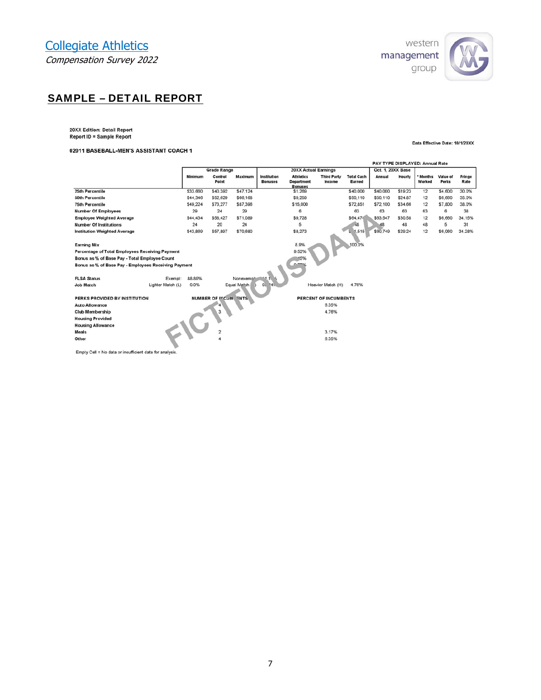

## SAMPLE – DETAIL REPORT

20XX Edition: Detail Report<br>Report ID = Sample Report

#### 02011 BASEBALL-MEN'S ASSISTANT COACH 1

#### Data Effective Date: 10/1/20XX

|                                                        |                   |          |                      |             |                               |                                                  |                              |                             |                   |         | PAY TYPE DISPLAYED: Annual Rate |                   |                |
|--------------------------------------------------------|-------------------|----------|----------------------|-------------|-------------------------------|--------------------------------------------------|------------------------------|-----------------------------|-------------------|---------|---------------------------------|-------------------|----------------|
|                                                        |                   |          | <b>Grade Range</b>   |             |                               | <b>20XX Actual Earnings</b>                      |                              |                             | Oct. 1, 20XX Base |         |                                 |                   |                |
|                                                        |                   | Minimum  | Control<br>Point     | Maximum     | Institution<br><b>Bonuses</b> | <b>Athletics</b><br>Department<br><b>Bonuses</b> | <b>Third Party</b><br>Income | <b>Total Cash</b><br>Earned | Annual            | Hourly  | * Months<br>Worked              | Value of<br>Perks | Fringe<br>Rate |
| 25th Percentile                                        |                   | \$33.660 | \$40,392             | \$47.124    |                               | \$1,269                                          |                              | \$40,000                    | \$40,000          | \$19.23 | 12                              | \$4,600           | 30.0%          |
| 50th Percentile                                        |                   | \$44,346 | \$52.629             | \$66,168    |                               | \$9,259                                          |                              | \$50,110                    | \$50,110          | \$24.87 | 12                              | \$6,660           | 35.0%          |
| <b>75th Percentile</b>                                 |                   | \$49,224 | \$73,277             | \$87,396    |                               | \$15,000                                         |                              | \$72,851                    | \$72,100          | \$34.66 | 12                              | \$7,800           | 38.0%          |
| <b>Number Of Employees</b>                             |                   | 29       | 24                   | 29          |                               | 6                                                |                              | 63                          | 63                | 63      | 63                              | 6                 | 38             |
| <b>Employee Weighted Average</b>                       |                   | \$44,434 | \$58,427             | \$71,089    |                               | \$9,728                                          |                              | \$64,474                    | \$63.547          | \$30.58 | 12                              | \$6,660           | 34.15%         |
| <b>Number Of Institutions</b>                          |                   | 24       | 20                   | 24          |                               | 5                                                |                              | $+8$                        | 48                | 48      | 48                              | 5                 | 31             |
| <b>Institution Weighted Average</b>                    |                   | \$43,869 | \$57,897             | \$70,680    |                               | \$8,273                                          |                              | 1,515                       | \$60,749          | \$29.24 | 12                              | \$6,060           | 34.28%         |
| <b>Earning Mix</b>                                     |                   |          |                      |             |                               | 8.9%                                             |                              | 100.0%                      |                   |         |                                 |                   |                |
| Percentage of Total Employees Receiving Payment        |                   |          |                      |             |                               | 9.52%                                            |                              |                             |                   |         |                                 |                   |                |
| Bonus as % of Base Pay - Total Employee Count          |                   |          |                      |             |                               | 15%                                              |                              |                             |                   |         |                                 |                   |                |
| Bonus as % of Base Pay - Employees Receiving Payment   |                   |          |                      |             |                               | 0.782                                            |                              |                             |                   |         |                                 |                   |                |
| <b>FLSA Status</b>                                     | Exempt:           | 88.89%   |                      | Nonexempt   |                               |                                                  |                              |                             |                   |         |                                 |                   |                |
| <b>Job Match</b>                                       | Lighter Match (L) | 0.0%     |                      | Equal Match | 9:<br>245.                    |                                                  | Heavier Match (H)            | 4.76%                       |                   |         |                                 |                   |                |
| PERKS PROVIDED BY INSTITUTION                          |                   |          | NUMBER OF INCUM ENTS |             |                               |                                                  | PERCENT OF INCUMBENTS        |                             |                   |         |                                 |                   |                |
| <b>Auto Allowance</b>                                  |                   |          |                      |             |                               |                                                  | 6.35%                        |                             |                   |         |                                 |                   |                |
| Club Membership                                        |                   |          |                      |             |                               |                                                  | 4.76%                        |                             |                   |         |                                 |                   |                |
| <b>Housing Provided</b>                                |                   |          |                      |             |                               |                                                  |                              |                             |                   |         |                                 |                   |                |
| <b>Housing Allowance</b>                               |                   |          |                      |             |                               |                                                  |                              |                             |                   |         |                                 |                   |                |
| <b>Meals</b>                                           |                   |          |                      |             |                               |                                                  | 3.17%                        |                             |                   |         |                                 |                   |                |
| Other                                                  |                   |          |                      |             |                               |                                                  | 6.35%                        |                             |                   |         |                                 |                   |                |
| Empty Cell = No data or insufficient data for analysis |                   |          |                      |             |                               |                                                  |                              |                             |                   |         |                                 |                   |                |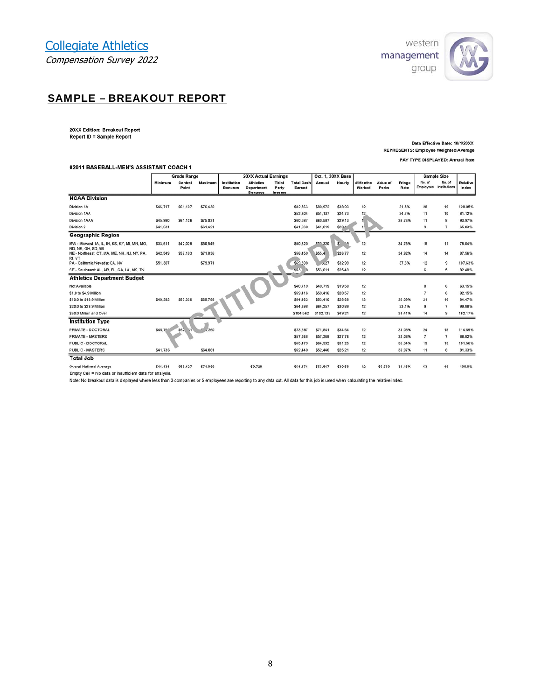

## SAMPLE – BREAKOUT REPORT

20XX Edition: Breakout Report Report ID = Sample Report

Data Effective Date: 10/1/20XX REPRESENTS: Employee Weighted Average PAY TYPE DISPLAYED: Annual Rate

#### 02011 BASEBALL-MEN'S ASSISTANT COACH 1

|                                                                     |           | <b>Grade Range</b> |          |                               | <b>20XX Actual Earnings</b>           |                       |                             |              | Oct. 1, 20XX Base |                      |                   |                |                          | Sample Size                      |                          |
|---------------------------------------------------------------------|-----------|--------------------|----------|-------------------------------|---------------------------------------|-----------------------|-----------------------------|--------------|-------------------|----------------------|-------------------|----------------|--------------------------|----------------------------------|--------------------------|
|                                                                     | Minimum   | Control<br>Point   | Maximum  | Institution<br><b>Bonuses</b> | <b>Athletics</b><br><b>Department</b> | <b>Third</b><br>Party | <b>Total Cash</b><br>Earned | Annual       | Hourly            | # Months<br>Worked   | Value of<br>Perks | Fringe<br>Rate | No. of                   | No. of<br>Employees Institutions | <b>Relative</b><br>Index |
|                                                                     |           |                    |          |                               | <b>Bonuses</b>                        | Income                |                             |              |                   |                      |                   |                |                          |                                  |                          |
| <b>NCAA Division</b>                                                |           |                    |          |                               |                                       |                       |                             |              |                   |                      |                   |                |                          |                                  |                          |
| <b>Division 1A</b>                                                  | \$46,717  | \$61,107           | \$76,430 |                               |                                       |                       | \$82,563                    | \$80,972     | \$38.93           | 12                   |                   | 31.5%          | 28                       | 19                               | 128.05%                  |
| <b>Division 1AA</b>                                                 |           |                    |          |                               |                                       |                       | \$52,304                    | \$51,137     | \$24.73           | 12                   |                   | 34.7%          | 11                       | 10                               | 81.12%                   |
| <b>Division 1AAA</b>                                                | \$45,980  | \$61,126           | \$75,031 |                               |                                       |                       | \$60,587                    | \$60,587     | \$29.13           |                      |                   | 38.73%         | 11                       | 8                                | 93.97%                   |
| Division 2                                                          | \$41,631  |                    | \$61,421 |                               |                                       |                       | \$41,930                    | \$41,819     | \$20.1            | $\ddot{\phantom{1}}$ |                   |                | 9                        | $\overline{7}$                   | 65.03%                   |
| <b>Geographic Region</b>                                            |           |                    |          |                               |                                       |                       |                             |              |                   |                      |                   |                |                          |                                  |                          |
| MW - Midwest: IA, IL, IN, KS, KY, MI, MN, MO,<br>ND, NE, OH, SD, WI | \$33,511  | \$42,028           | \$50,549 |                               |                                       |                       | \$50,320                    | $e^{ra}$ 320 | s                 | 12                   |                   | 34.75%         | 15                       | 11                               | 78.04%                   |
| NE - Northeast: CT, MA, ME, NH, NJ, NY, PA,<br>RI, VT               | \$42,549  | \$57,193           | \$71,836 |                               |                                       |                       | \$56,459                    | \$55.4       | \$26.77           | 12                   |                   | 34.92%         | 14                       | 14                               | 87.56%                   |
| PA - California/Nevada: CA, NV                                      | \$51,307  |                    | \$79,971 |                               |                                       |                       | \$69,398                    | .627         | \$32.99           | 12                   |                   | 37.3%          | 12                       | 9                                | 107.63%                  |
| SE - Southeast: AL, AR, FL, GA, LA, MS, TN                          |           |                    |          |                               |                                       |                       | 553.<br>8                   | \$53,011     | \$25.49           | 12                   |                   |                | 6                        | 5                                | 82.48%                   |
| <b>Athletics Department Budget</b>                                  |           |                    |          |                               |                                       |                       |                             |              |                   |                      |                   |                |                          |                                  |                          |
| Not Available                                                       |           |                    |          |                               |                                       |                       | \$40.719                    | \$40,719     | \$19.58           | 12                   |                   |                | 8                        | 6                                | 63.15%                   |
| \$1.0 to \$4.9 Million                                              |           |                    |          |                               |                                       |                       | \$59,416                    | \$59,416     | \$28.57           | 12                   |                   |                | $\overline{\phantom{a}}$ | 6                                | 92.15%                   |
| \$10.0 to \$19.9 Million                                            | \$40,292  | \$53,336           | \$65,758 |                               |                                       |                       | \$54,462                    | \$53,410     | \$25.68           | 12                   |                   | 36.09%         | 21                       | 16                               | 84.47%                   |
| \$20.0 to \$29.9 Million                                            |           |                    |          |                               |                                       |                       | \$64,398                    | \$64,257     | \$30.89           | 12                   |                   | 33.1%          | 9                        | $\overline{7}$                   | 99.88%                   |
| \$30,0 Million and Over                                             |           |                    |          |                               |                                       |                       | \$104,562                   | \$102,133    | \$49.21           | 12                   |                   | 31.41%         | 14                       | 9                                | 162.17%                  |
| <b>Institution Type</b>                                             |           |                    |          |                               |                                       |                       |                             |              |                   |                      |                   |                |                          |                                  |                          |
| PRIVATE - DOCTORAL                                                  | \$45.75.7 | \$62 51            | .260     |                               |                                       |                       | \$73,887                    | \$71.841     | \$34.54           | 12                   |                   | 31.08%         | 24                       | 18                               | 114.59%                  |
| <b>PRIVATE - MASTERS</b>                                            |           |                    |          |                               |                                       |                       | \$57,268                    | \$57,268     | \$27.76           | 12                   |                   | 32.08%         | $\overline{7}$           | $\overline{7}$                   | 88.82%                   |
| PUBLIC - DOCTORAL                                                   |           |                    |          |                               |                                       |                       | \$65,479                    | \$64,992     | \$31.25           | 12                   |                   | 35.34%         | 19                       | 13                               | 101.56%                  |
| PUBLIC - MASTERS                                                    | \$41,736  |                    | \$64,081 |                               |                                       |                       | \$52,440                    | \$52,440     | \$25.21           | 12                   |                   | 39.97%         | 11                       | 8                                | 81.33%                   |
| <b>Total Job</b>                                                    |           |                    |          |                               |                                       |                       |                             |              |                   |                      |                   |                |                          |                                  |                          |
| Overall National Average                                            | \$44,434  | \$58,427           | \$71,089 |                               | \$9,728                               |                       | \$64,474                    | \$63,547     | \$30.58           | 12                   | \$6,660           | 34.15%         | 63                       | 48                               | 100.0%                   |
| Empty Cell = No data or insufficient data for analysis.             |           |                    |          |                               |                                       |                       |                             |              |                   |                      |                   |                |                          |                                  |                          |

Note: No breakout data is displayed where less than 3 companies or 5 employees are reporting to any data cut. All data for this job is used when calculating the relative index.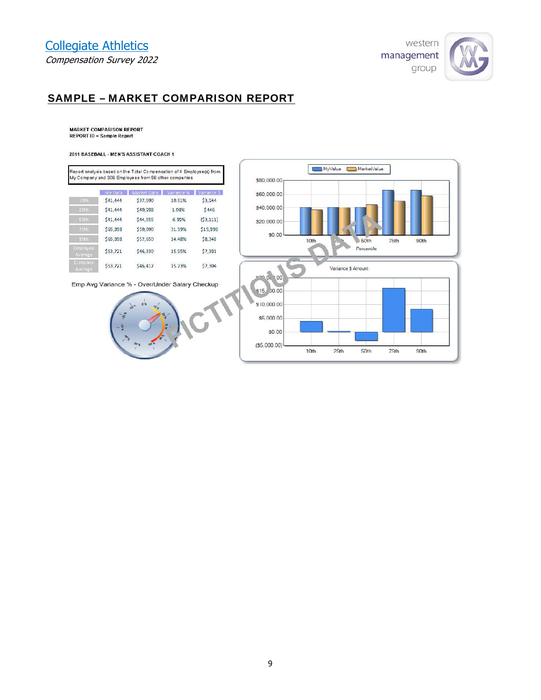

## SAMPLE – MARKET COMPARISON REPORT

**MARKET COMPARISON REPORT<br>REPORT ID = Sample Report** 

#### 2011 BASEBALL - MEN'S ASSISTANT COACH 1

|                     |          | Report analysis based on the Total Compensation of 4 Employee (s) from<br>My Company and 306 Employees from 56 other companies. |             |            |
|---------------------|----------|---------------------------------------------------------------------------------------------------------------------------------|-------------|------------|
|                     | VIv Data | Market Data                                                                                                                     | l'ariance % | Variance 5 |
| 10th                | \$41,444 | \$37,500                                                                                                                        | 10.51%      | \$3,944    |
| 25th                | \$41,444 | \$40,998                                                                                                                        | 1.08%       | \$446      |
| <b>SDth</b>         | \$41,444 | \$44,555                                                                                                                        | $-6.99%$    | (53, 111)  |
| 75th                | \$65,998 | \$50,000                                                                                                                        | 31.99%      | \$15,998   |
| 90th                | \$65,998 | \$57,650                                                                                                                        | 14.48%      | \$8,348    |
| Employee<br>Average | \$53,721 | \$46,330                                                                                                                        | 15.95%      | \$7,391    |
| Company<br>Average  | \$53,721 | 546,417                                                                                                                         | 15.73%      | \$7,304    |

Emp Avg Variance % - Over/Under Salary Checkup



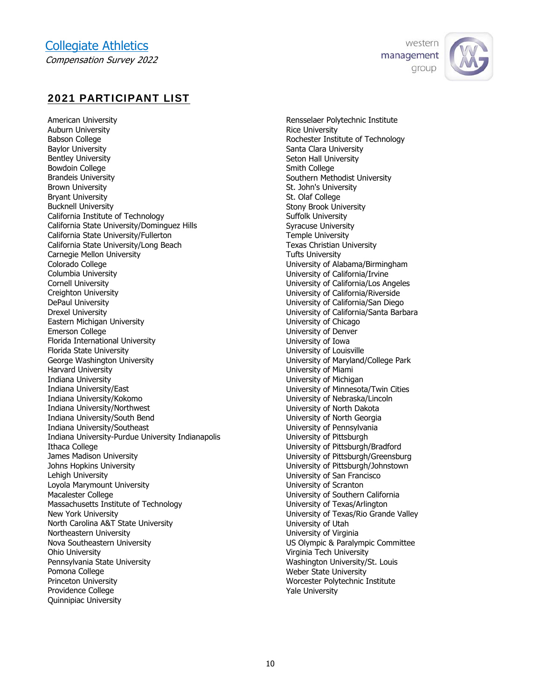



## 2021 PARTICIPANT LIST

American University Auburn University Babson College Baylor University Bentley University Bowdoin College Brandeis University Brown University Bryant University Bucknell University California Institute of Technology California State University/Dominguez Hills California State University/Fullerton California State University/Long Beach Carnegie Mellon University Colorado College Columbia University Cornell University Creighton University DePaul University Drexel University Eastern Michigan University Emerson College Florida International University Florida State University George Washington University Harvard University Indiana University Indiana University/East Indiana University/Kokomo Indiana University/Northwest Indiana University/South Bend Indiana University/Southeast Indiana University-Purdue University Indianapolis Ithaca College James Madison University Johns Hopkins University Lehigh University Loyola Marymount University Macalester College Massachusetts Institute of Technology New York University North Carolina A&T State University Northeastern University Nova Southeastern University Ohio University Pennsylvania State University Pomona College Princeton University Providence College Quinnipiac University

Rensselaer Polytechnic Institute Rice University Rochester Institute of Technology Santa Clara University Seton Hall University Smith College Southern Methodist University St. John's University St. Olaf College Stony Brook University Suffolk University Syracuse University Temple University Texas Christian University Tufts University University of Alabama/Birmingham University of California/Irvine University of California/Los Angeles University of California/Riverside University of California/San Diego University of California/Santa Barbara University of Chicago University of Denver University of Iowa University of Louisville University of Maryland/College Park University of Miami University of Michigan University of Minnesota/Twin Cities University of Nebraska/Lincoln University of North Dakota University of North Georgia University of Pennsylvania University of Pittsburgh University of Pittsburgh/Bradford University of Pittsburgh/Greensburg University of Pittsburgh/Johnstown University of San Francisco University of Scranton University of Southern California University of Texas/Arlington University of Texas/Rio Grande Valley University of Utah University of Virginia US Olympic & Paralympic Committee Virginia Tech University Washington University/St. Louis Weber State University Worcester Polytechnic Institute Yale University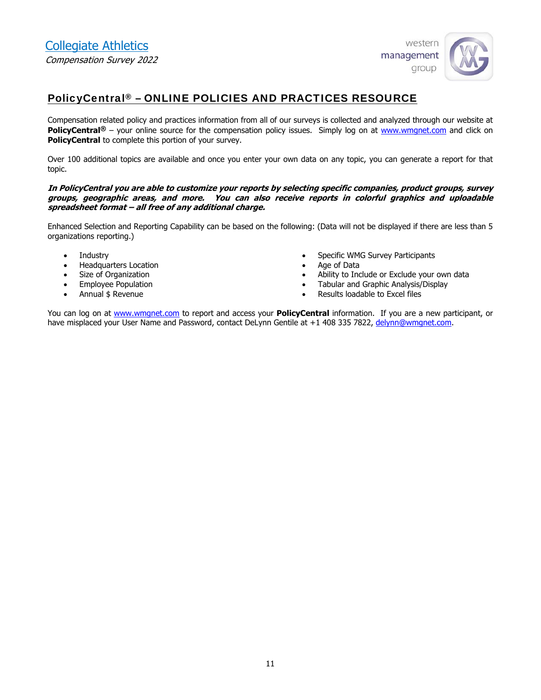

## PolicyCentral® – ONLINE POLICIES AND PRACTICES RESOURCE

Compensation related policy and practices information from all of our surveys is collected and analyzed through our website at **PolicyCentral**<sup>®</sup> – your online source for the compensation policy issues. Simply log on at www.wmgnet.com and click on **PolicyCentral** to complete this portion of your survey.

Over 100 additional topics are available and once you enter your own data on any topic, you can generate a report for that topic.

#### **In PolicyCentral you are able to customize your reports by selecting specific companies, product groups, survey groups, geographic areas, and more. You can also receive reports in colorful graphics and uploadable spreadsheet format – all free of any additional charge.**

Enhanced Selection and Reporting Capability can be based on the following: (Data will not be displayed if there are less than 5 organizations reporting.)

- Industry
- Headquarters Location
- Size of Organization
- Employee Population
- Annual \$ Revenue
- Specific WMG Survey Participants
- Age of Data
- Ability to Include or Exclude your own data
- Tabular and Graphic Analysis/Display
- Results loadable to Excel files

You can log on at www.wmgnet.com to report and access your **PolicyCentral** information. If you are a new participant, or have misplaced your User Name and Password, contact DeLynn Gentile at +1 408 335 7822, delynn@wmgnet.com.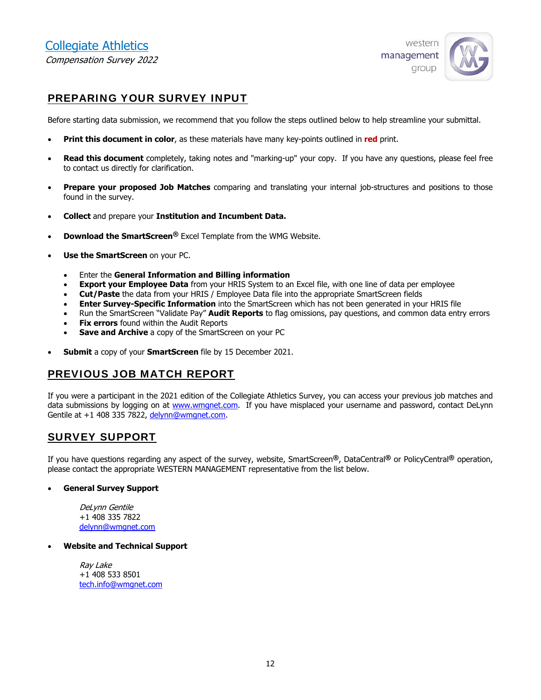

## PREPARING YOUR SURVEY INPUT

Before starting data submission, we recommend that you follow the steps outlined below to help streamline your submittal.

- **Print this document in color**, as these materials have many key-points outlined in **red** print.
- **Read this document** completely, taking notes and "marking-up" your copy. If you have any questions, please feel free to contact us directly for clarification.
- **Prepare your proposed Job Matches** comparing and translating your internal job-structures and positions to those found in the survey.
- **Collect** and prepare your **Institution and Incumbent Data.**
- **Download the SmartScreen®** Excel Template from the WMG Website.
- **Use the SmartScreen** on your PC.
	- Enter the **General Information and Billing information**
	- **Export your Employee Data** from your HRIS System to an Excel file, with one line of data per employee
	- **Cut/Paste** the data from your HRIS / Employee Data file into the appropriate SmartScreen fields
	- **Enter Survey-Specific Information** into the SmartScreen which has not been generated in your HRIS file
	- Run the SmartScreen "Validate Pay" **Audit Reports** to flag omissions, pay questions, and common data entry errors
	- **Fix errors** found within the Audit Reports
	- **Save and Archive** a copy of the SmartScreen on your PC
- **Submit** a copy of your **SmartScreen** file by 15 December 2021.

## PREVIOUS JOB MATCH REPORT

If you were a participant in the 2021 edition of the Collegiate Athletics Survey, you can access your previous job matches and data submissions by logging on at www.wmgnet.com. If you have misplaced your username and password, contact DeLynn Gentile at +1 408 335 7822, delynn@wmgnet.com.

## SURVEY SUPPORT

If you have questions regarding any aspect of the survey, website, SmartScreen**®**, DataCentral**®** or PolicyCentral**®** operation, please contact the appropriate WESTERN MANAGEMENT representative from the list below.

#### **General Survey Support**

DeLynn Gentile +1 408 335 7822 delynn@wmgnet.com

#### **Website and Technical Support**

Ray Lake +1 408 533 8501 tech.info@wmgnet.com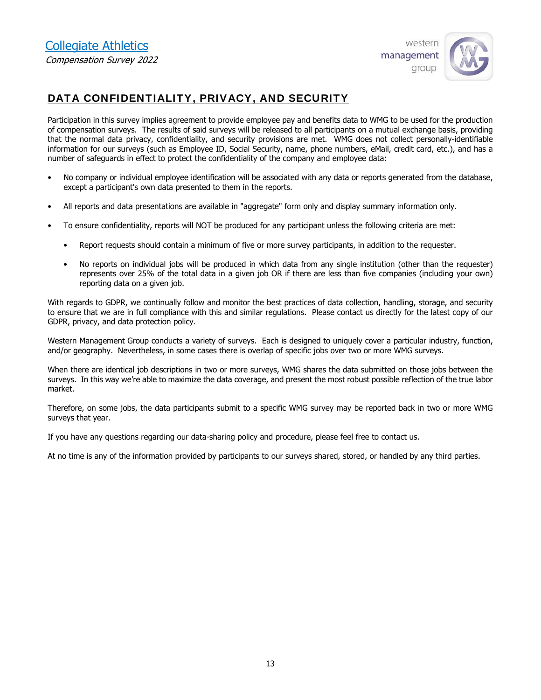

## DATA CONFIDENTIALITY, PRIVACY, AND SECURITY

Participation in this survey implies agreement to provide employee pay and benefits data to WMG to be used for the production of compensation surveys. The results of said surveys will be released to all participants on a mutual exchange basis, providing that the normal data privacy, confidentiality, and security provisions are met. WMG does not collect personally-identifiable information for our surveys (such as Employee ID, Social Security, name, phone numbers, eMail, credit card, etc.), and has a number of safeguards in effect to protect the confidentiality of the company and employee data:

- No company or individual employee identification will be associated with any data or reports generated from the database, except a participant's own data presented to them in the reports.
- All reports and data presentations are available in "aggregate" form only and display summary information only.
- To ensure confidentiality, reports will NOT be produced for any participant unless the following criteria are met:
	- Report requests should contain a minimum of five or more survey participants, in addition to the requester.
	- No reports on individual jobs will be produced in which data from any single institution (other than the requester) represents over 25% of the total data in a given job OR if there are less than five companies (including your own) reporting data on a given job.

With regards to GDPR, we continually follow and monitor the best practices of data collection, handling, storage, and security to ensure that we are in full compliance with this and similar regulations. Please contact us directly for the latest copy of our GDPR, privacy, and data protection policy.

Western Management Group conducts a variety of surveys. Each is designed to uniquely cover a particular industry, function, and/or geography. Nevertheless, in some cases there is overlap of specific jobs over two or more WMG surveys.

When there are identical job descriptions in two or more surveys, WMG shares the data submitted on those jobs between the surveys. In this way we're able to maximize the data coverage, and present the most robust possible reflection of the true labor market.

Therefore, on some jobs, the data participants submit to a specific WMG survey may be reported back in two or more WMG surveys that year.

If you have any questions regarding our data-sharing policy and procedure, please feel free to contact us.

At no time is any of the information provided by participants to our surveys shared, stored, or handled by any third parties.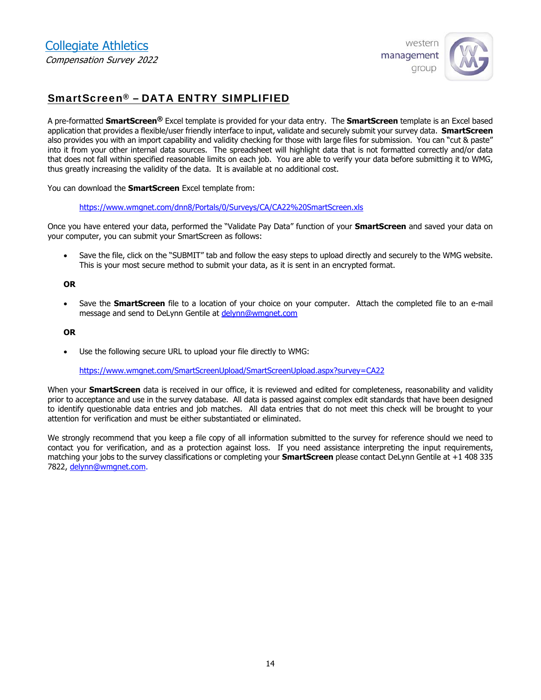

## SmartScreen® – DATA ENTRY SIMPLIFIED

A pre-formatted **SmartScreen®** Excel template is provided for your data entry. The **SmartScreen** template is an Excel based application that provides a flexible/user friendly interface to input, validate and securely submit your survey data. **SmartScreen** also provides you with an import capability and validity checking for those with large files for submission. You can "cut & paste" into it from your other internal data sources. The spreadsheet will highlight data that is not formatted correctly and/or data that does not fall within specified reasonable limits on each job. You are able to verify your data before submitting it to WMG, thus greatly increasing the validity of the data. It is available at no additional cost.

You can download the **SmartScreen** Excel template from:

https://www.wmgnet.com/dnn8/Portals/0/Surveys/CA/CA22%20SmartScreen.xls

Once you have entered your data, performed the "Validate Pay Data" function of your **SmartScreen** and saved your data on your computer, you can submit your SmartScreen as follows:

 Save the file, click on the "SUBMIT" tab and follow the easy steps to upload directly and securely to the WMG website. This is your most secure method to submit your data, as it is sent in an encrypted format.

#### **OR**

 Save the **SmartScreen** file to a location of your choice on your computer. Attach the completed file to an e-mail message and send to DeLynn Gentile at delynn@wmgnet.com

#### **OR**

Use the following secure URL to upload your file directly to WMG:

https://www.wmgnet.com/SmartScreenUpload/SmartScreenUpload.aspx?survey=CA22

When your **SmartScreen** data is received in our office, it is reviewed and edited for completeness, reasonability and validity prior to acceptance and use in the survey database. All data is passed against complex edit standards that have been designed to identify questionable data entries and job matches. All data entries that do not meet this check will be brought to your attention for verification and must be either substantiated or eliminated.

We strongly recommend that you keep a file copy of all information submitted to the survey for reference should we need to contact you for verification, and as a protection against loss. If you need assistance interpreting the input requirements, matching your jobs to the survey classifications or completing your **SmartScreen** please contact DeLynn Gentile at +1 408 335 7822, delynn@wmgnet.com.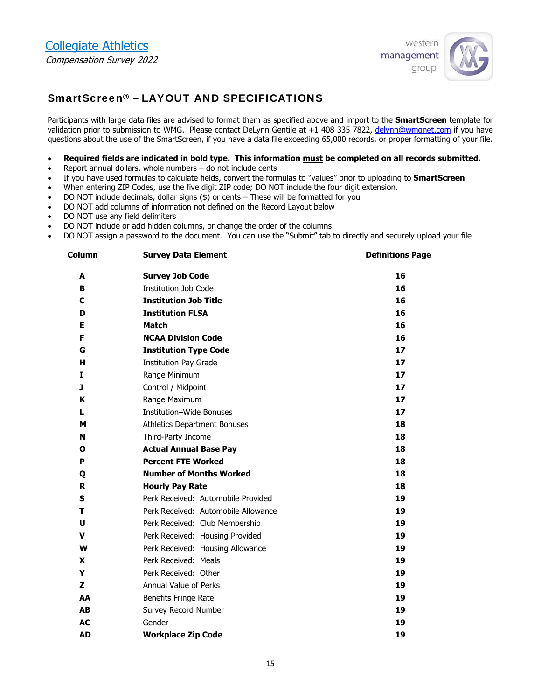

## SmartScreen® – LAYOUT AND SPECIFICATIONS

Participants with large data files are advised to format them as specified above and import to the **SmartScreen** template for validation prior to submission to WMG. Please contact DeLynn Gentile at +1 408 335 7822, delynn@wmgnet.com if you have questions about the use of the SmartScreen, if you have a data file exceeding 65,000 records, or proper formatting of your file.

#### **Required fields are indicated in bold type. This information must be completed on all records submitted.**

- Report annual dollars, whole numbers do not include cents
- If you have used formulas to calculate fields, convert the formulas to "values" prior to uploading to **SmartScreen**
- When entering ZIP Codes, use the five digit ZIP code; DO NOT include the four digit extension.
- DO NOT include decimals, dollar signs (\$) or cents These will be formatted for you
- DO NOT add columns of information not defined on the Record Layout below
- DO NOT use any field delimiters
- DO NOT include or add hidden columns, or change the order of the columns
- DO NOT assign a password to the document. You can use the "Submit" tab to directly and securely upload your file

| Column    | <b>Survey Data Element</b>          | <b>Definitions Page</b> |
|-----------|-------------------------------------|-------------------------|
| A         | <b>Survey Job Code</b>              | 16                      |
| в         | <b>Institution Job Code</b>         | 16                      |
| С         | <b>Institution Job Title</b>        | 16                      |
| D         | <b>Institution FLSA</b>             | 16                      |
| Е         | <b>Match</b>                        | 16                      |
| F         | <b>NCAA Division Code</b>           | 16                      |
| G         | <b>Institution Type Code</b>        | 17                      |
| н         | <b>Institution Pay Grade</b>        | 17                      |
| Ι.        | Range Minimum                       | 17                      |
| J         | Control / Midpoint                  | 17                      |
| K         | Range Maximum                       | 17                      |
| L         | Institution-Wide Bonuses            | 17                      |
| м         | <b>Athletics Department Bonuses</b> | 18                      |
| N         | Third-Party Income                  | 18                      |
| Ο         | <b>Actual Annual Base Pay</b>       | 18                      |
| P         | <b>Percent FTE Worked</b>           | 18                      |
| Q         | <b>Number of Months Worked</b>      | 18                      |
| R         | <b>Hourly Pay Rate</b>              | 18                      |
| S         | Perk Received: Automobile Provided  | 19                      |
| т         | Perk Received: Automobile Allowance | 19                      |
| U         | Perk Received: Club Membership      | 19                      |
| V         | Perk Received: Housing Provided     | 19                      |
| w         | Perk Received: Housing Allowance    | 19                      |
| X         | Perk Received: Meals                | 19                      |
| Y         | Perk Received: Other                | 19                      |
| z         | Annual Value of Perks               | 19                      |
| AA        | Benefits Fringe Rate                | 19                      |
| <b>AB</b> | Survey Record Number                | 19                      |
| <b>AC</b> | Gender                              | 19                      |
| <b>AD</b> | <b>Workplace Zip Code</b>           | 19                      |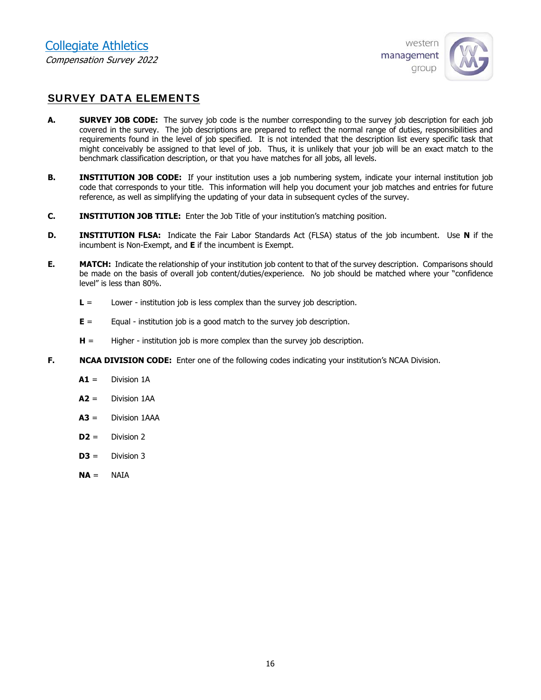

## SURVEY DATA ELEMENTS

- **A. SURVEY JOB CODE:** The survey job code is the number corresponding to the survey job description for each job covered in the survey. The job descriptions are prepared to reflect the normal range of duties, responsibilities and requirements found in the level of job specified. It is not intended that the description list every specific task that might conceivably be assigned to that level of job. Thus, it is unlikely that your job will be an exact match to the benchmark classification description, or that you have matches for all jobs, all levels.
- **B. INSTITUTION JOB CODE:** If your institution uses a job numbering system, indicate your internal institution job code that corresponds to your title. This information will help you document your job matches and entries for future reference, as well as simplifying the updating of your data in subsequent cycles of the survey.
- **C. INSTITUTION JOB TITLE:** Enter the Job Title of your institution's matching position.
- **D. INSTITUTION FLSA:** Indicate the Fair Labor Standards Act (FLSA) status of the job incumbent. Use **N** if the incumbent is Non-Exempt, and **E** if the incumbent is Exempt.
- **E. MATCH:** Indicate the relationship of your institution job content to that of the survey description. Comparisons should be made on the basis of overall job content/duties/experience. No job should be matched where your "confidence level" is less than 80%.
	- **L** = Lower institution job is less complex than the survey job description.
	- **E** = Equal institution job is a good match to the survey job description.
	- **H** = Higher institution job is more complex than the survey job description.
- **F. NCAA DIVISION CODE:** Enter one of the following codes indicating your institution's NCAA Division.
	- **A1** = Division 1A
	- **A2** = Division 1AA
	- **A3** = Division 1AAA
	- **D2** = Division 2
	- $D3 =$  Division 3
	- **NA** = NAIA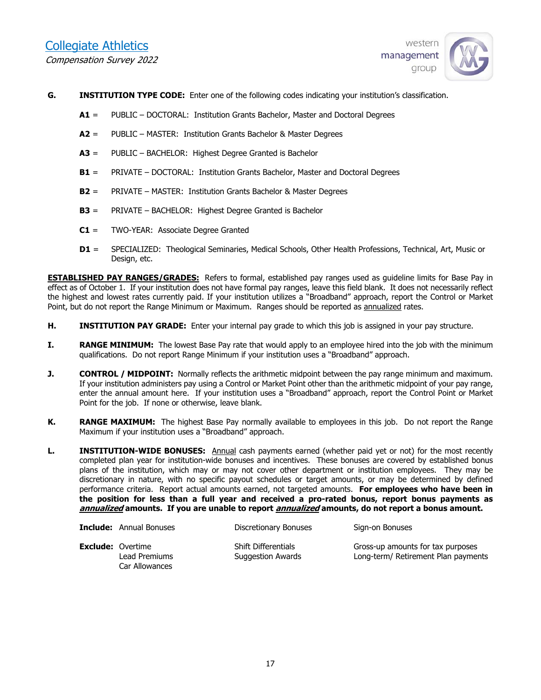

- **G. INSTITUTION TYPE CODE:** Enter one of the following codes indicating your institution's classification.
	- **A1** = PUBLIC DOCTORAL: Institution Grants Bachelor, Master and Doctoral Degrees
	- **A2** = PUBLIC MASTER: Institution Grants Bachelor & Master Degrees
	- **A3** = PUBLIC BACHELOR: Highest Degree Granted is Bachelor
	- **B1** = PRIVATE DOCTORAL: Institution Grants Bachelor, Master and Doctoral Degrees
	- **B2** = PRIVATE MASTER: Institution Grants Bachelor & Master Degrees
	- **B3** = PRIVATE BACHELOR: Highest Degree Granted is Bachelor
	- **C1** = TWO-YEAR: Associate Degree Granted
	- **D1** = SPECIALIZED: Theological Seminaries, Medical Schools, Other Health Professions, Technical, Art, Music or Design, etc.

**ESTABLISHED PAY RANGES/GRADES:** Refers to formal, established pay ranges used as guideline limits for Base Pay in effect as of October 1. If your institution does not have formal pay ranges, leave this field blank. It does not necessarily reflect the highest and lowest rates currently paid. If your institution utilizes a "Broadband" approach, report the Control or Market Point, but do not report the Range Minimum or Maximum. Ranges should be reported as annualized rates.

- **H. INSTITUTION PAY GRADE:** Enter your internal pay grade to which this job is assigned in your pay structure.
- **I. RANGE MINIMUM:** The lowest Base Pay rate that would apply to an employee hired into the job with the minimum qualifications. Do not report Range Minimum if your institution uses a "Broadband" approach.
- **J. CONTROL / MIDPOINT:** Normally reflects the arithmetic midpoint between the pay range minimum and maximum. If your institution administers pay using a Control or Market Point other than the arithmetic midpoint of your pay range, enter the annual amount here. If your institution uses a "Broadband" approach, report the Control Point or Market Point for the job. If none or otherwise, leave blank.
- **K. RANGE MAXIMUM:** The highest Base Pay normally available to employees in this job. Do not report the Range Maximum if your institution uses a "Broadband" approach.
- **L. INSTITUTION-WIDE BONUSES:** Annual cash payments earned (whether paid yet or not) for the most recently completed plan year for institution-wide bonuses and incentives. These bonuses are covered by established bonus plans of the institution, which may or may not cover other department or institution employees. They may be discretionary in nature, with no specific payout schedules or target amounts, or may be determined by defined performance criteria. Report actual amounts earned, not targeted amounts. **For employees who have been in the position for less than a full year and received a pro-rated bonus, report bonus payments as annualized amounts. If you are unable to report annualized amounts, do not report a bonus amount.**

| <b>Include:</b> Annual Bonuses                              | Discretionary Bonuses                           | Sign-on Bonuses                                                          |
|-------------------------------------------------------------|-------------------------------------------------|--------------------------------------------------------------------------|
| <b>Exclude:</b> Overtime<br>Lead Premiums<br>Car Allowances | <b>Shift Differentials</b><br>Suggestion Awards | Gross-up amounts for tax purposes<br>Long-term/ Retirement Plan payments |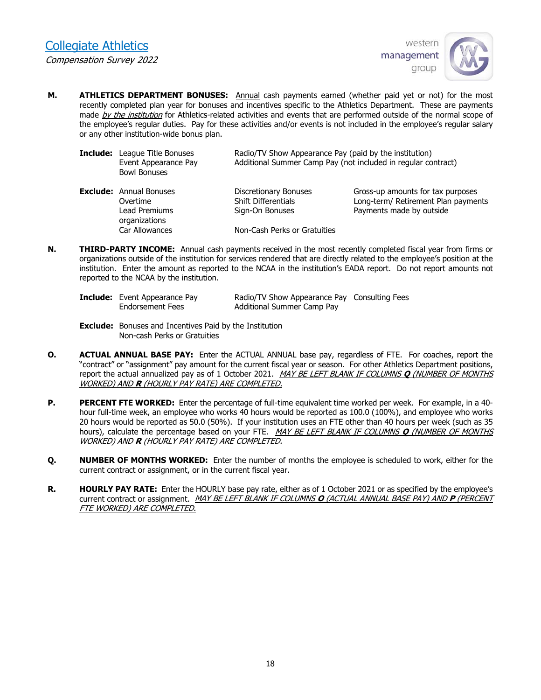

**M. ATHLETICS DEPARTMENT BONUSES:** Annual cash payments earned (whether paid yet or not) for the most recently completed plan year for bonuses and incentives specific to the Athletics Department. These are payments made by the institution for Athletics-related activities and events that are performed outside of the normal scope of the employee's regular duties. Pay for these activities and/or events is not included in the employee's regular salary or any other institution-wide bonus plan.

| <b>Include:</b> League Title Bonuses<br>Event Appearance Pay<br><b>Bowl Bonuses</b> | Radio/TV Show Appearance Pay (paid by the institution)<br>Additional Summer Camp Pay (not included in regular contract) |                                                                          |  |  |  |  |
|-------------------------------------------------------------------------------------|-------------------------------------------------------------------------------------------------------------------------|--------------------------------------------------------------------------|--|--|--|--|
| <b>Exclude:</b> Annual Bonuses<br>Overtime                                          | Discretionary Bonuses<br><b>Shift Differentials</b>                                                                     | Gross-up amounts for tax purposes<br>Long-term/ Retirement Plan payments |  |  |  |  |
| Lead Premiums<br>organizations                                                      | Sign-On Bonuses                                                                                                         | Payments made by outside                                                 |  |  |  |  |
| Car Allowances                                                                      | Non-Cash Perks or Gratuities                                                                                            |                                                                          |  |  |  |  |

**N. THIRD-PARTY INCOME:** Annual cash payments received in the most recently completed fiscal year from firms or organizations outside of the institution for services rendered that are directly related to the employee's position at the institution. Enter the amount as reported to the NCAA in the institution's EADA report. Do not report amounts not reported to the NCAA by the institution.

| <b>Include:</b> Event Appearance Pay | Radio/TV Show Appearance Pay Consulting Fees |  |
|--------------------------------------|----------------------------------------------|--|
| Endorsement Fees                     | Additional Summer Camp Pay                   |  |

- **Exclude:** Bonuses and Incentives Paid by the Institution Non-cash Perks or Gratuities
- **O. ACTUAL ANNUAL BASE PAY:** Enter the ACTUAL ANNUAL base pay, regardless of FTE. For coaches, report the "contract" or "assignment" pay amount for the current fiscal year or season. For other Athletics Department positions, report the actual annualized pay as of 1 October 2021. MAY BE LEFT BLANK IF COLUMNS **Q** (NUMBER OF MONTHS WORKED) AND **R** (HOURLY PAY RATE) ARE COMPLETED.
- **P. PERCENT FTE WORKED:** Enter the percentage of full-time equivalent time worked per week. For example, in a 40 hour full-time week, an employee who works 40 hours would be reported as 100.0 (100%), and employee who works 20 hours would be reported as 50.0 (50%). If your institution uses an FTE other than 40 hours per week (such as 35 hours), calculate the percentage based on your FTE. MAY BE LEFT BLANK IF COLUMNS **Q** (NUMBER OF MONTHS WORKED) AND **R** (HOURLY PAY RATE) ARE COMPLETED.
- **Q. NUMBER OF MONTHS WORKED:** Enter the number of months the employee is scheduled to work, either for the current contract or assignment, or in the current fiscal year.
- **R. HOURLY PAY RATE:** Enter the HOURLY base pay rate, either as of 1 October 2021 or as specified by the employee's current contract or assignment. MAY BE LEFT BLANK IF COLUMNS **O** (ACTUAL ANNUAL BASE PAY) AND **P** (PERCENT FTE WORKED) ARE COMPLETED.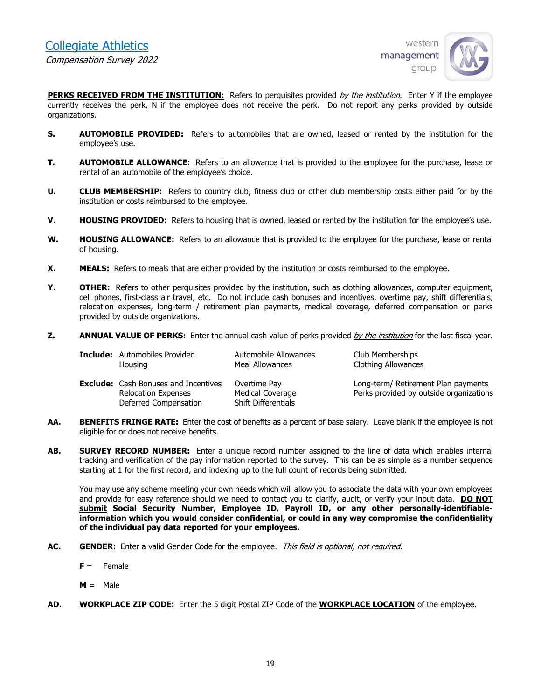

**PERKS RECEIVED FROM THE INSTITUTION:** Refers to perquisites provided by the institution. Enter Y if the employee currently receives the perk, N if the employee does not receive the perk. Do not report any perks provided by outside organizations.

- **S. AUTOMOBILE PROVIDED:** Refers to automobiles that are owned, leased or rented by the institution for the employee's use.
- **T. AUTOMOBILE ALLOWANCE:** Refers to an allowance that is provided to the employee for the purchase, lease or rental of an automobile of the employee's choice.
- **U. CLUB MEMBERSHIP:** Refers to country club, fitness club or other club membership costs either paid for by the institution or costs reimbursed to the employee.
- **V. HOUSING PROVIDED:** Refers to housing that is owned, leased or rented by the institution for the employee's use.
- **W. HOUSING ALLOWANCE:** Refers to an allowance that is provided to the employee for the purchase, lease or rental of housing.
- **X. MEALS:** Refers to meals that are either provided by the institution or costs reimbursed to the employee.
- **Y. OTHER:** Refers to other perquisites provided by the institution, such as clothing allowances, computer equipment, cell phones, first-class air travel, etc. Do not include cash bonuses and incentives, overtime pay, shift differentials, relocation expenses, long-term / retirement plan payments, medical coverage, deferred compensation or perks provided by outside organizations.
- **Z. ANNUAL VALUE OF PERKS:** Enter the annual cash value of perks provided *by the institution* for the last fiscal year.

| <b>Include:</b> Automobiles Provided                                                               | Automobile Allowances                                          | Club Memberships           |
|----------------------------------------------------------------------------------------------------|----------------------------------------------------------------|----------------------------|
| Housing                                                                                            | Meal Allowances                                                | <b>Clothing Allowances</b> |
| <b>Exclude:</b> Cash Bonuses and Incentives<br><b>Relocation Expenses</b><br>Deferred Compensation | Overtime Pay<br>Medical Coverage<br><b>Shift Differentials</b> |                            |

- **AA. BENEFITS FRINGE RATE:** Enter the cost of benefits as a percent of base salary. Leave blank if the employee is not eligible for or does not receive benefits.
- **AB. SURVEY RECORD NUMBER:** Enter a unique record number assigned to the line of data which enables internal tracking and verification of the pay information reported to the survey. This can be as simple as a number sequence starting at 1 for the first record, and indexing up to the full count of records being submitted.

You may use any scheme meeting your own needs which will allow you to associate the data with your own employees and provide for easy reference should we need to contact you to clarify, audit, or verify your input data. **DO NOT submit Social Security Number, Employee ID, Payroll ID, or any other personally-identifiableinformation which you would consider confidential, or could in any way compromise the confidentiality of the individual pay data reported for your employees.** 

- AC. GENDER: Enter a valid Gender Code for the employee. This field is optional, not required.
	- **F** = Female
	- **M** = Male
- **AD. WORKPLACE ZIP CODE:** Enter the 5 digit Postal ZIP Code of the **WORKPLACE LOCATION** of the employee.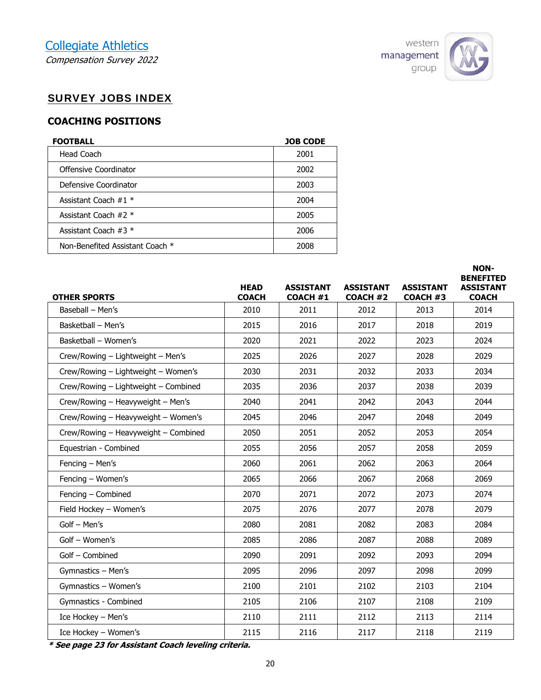

**NON-**

## SURVEY JOBS INDEX

## **COACHING POSITIONS**

| <b>FOOTBALL</b>                 | <b>JOB CODE</b> |
|---------------------------------|-----------------|
| Head Coach                      | 2001            |
| Offensive Coordinator           | 2002            |
| Defensive Coordinator           | 2003            |
| Assistant Coach $#1$ *          | 2004            |
| Assistant Coach $#2$ *          | 2005            |
| Assistant Coach $#3$ *          | 2006            |
| Non-Benefited Assistant Coach * | 2008            |

| <b>OTHER SPORTS</b>                  | <b>HEAD</b><br><b>COACH</b> | <b>ASSISTANT</b><br><b>COACH #1</b> | <b>ASSISTANT</b><br><b>COACH #2</b> | <b>ASSISTANT</b><br><b>COACH #3</b> | <b>BENEFITED</b><br><b>ASSISTANT</b><br><b>COACH</b> |
|--------------------------------------|-----------------------------|-------------------------------------|-------------------------------------|-------------------------------------|------------------------------------------------------|
| Baseball - Men's                     | 2010                        | 2011                                | 2012                                | 2013                                | 2014                                                 |
| Basketball - Men's                   | 2015                        | 2016                                | 2017                                | 2018                                | 2019                                                 |
| Basketball - Women's                 | 2020                        | 2021                                | 2022                                | 2023                                | 2024                                                 |
| Crew/Rowing - Lightweight - Men's    | 2025                        | 2026                                | 2027                                | 2028                                | 2029                                                 |
| Crew/Rowing - Lightweight - Women's  | 2030                        | 2031                                | 2032                                | 2033                                | 2034                                                 |
| Crew/Rowing - Lightweight - Combined | 2035                        | 2036                                | 2037                                | 2038                                | 2039                                                 |
| Crew/Rowing - Heavyweight - Men's    | 2040                        | 2041                                | 2042                                | 2043                                | 2044                                                 |
| Crew/Rowing - Heavyweight - Women's  | 2045                        | 2046                                | 2047                                | 2048                                | 2049                                                 |
| Crew/Rowing - Heavyweight - Combined | 2050                        | 2051                                | 2052                                | 2053                                | 2054                                                 |
| Equestrian - Combined                | 2055                        | 2056                                | 2057                                | 2058                                | 2059                                                 |
| Fencing - Men's                      | 2060                        | 2061                                | 2062                                | 2063                                | 2064                                                 |
| Fencing - Women's                    | 2065                        | 2066                                | 2067                                | 2068                                | 2069                                                 |
| Fencing - Combined                   | 2070                        | 2071                                | 2072                                | 2073                                | 2074                                                 |
| Field Hockey - Women's               | 2075                        | 2076                                | 2077                                | 2078                                | 2079                                                 |
| Golf - Men's                         | 2080                        | 2081                                | 2082                                | 2083                                | 2084                                                 |
| Golf - Women's                       | 2085                        | 2086                                | 2087                                | 2088                                | 2089                                                 |
| Golf - Combined                      | 2090                        | 2091                                | 2092                                | 2093                                | 2094                                                 |
| Gymnastics - Men's                   | 2095                        | 2096                                | 2097                                | 2098                                | 2099                                                 |
| Gymnastics - Women's                 | 2100                        | 2101                                | 2102                                | 2103                                | 2104                                                 |
| Gymnastics - Combined                | 2105                        | 2106                                | 2107                                | 2108                                | 2109                                                 |
| Ice Hockey - Men's                   | 2110                        | 2111                                | 2112                                | 2113                                | 2114                                                 |
| Ice Hockey - Women's                 | 2115                        | 2116                                | 2117                                | 2118                                | 2119                                                 |

**\* See page 23 for Assistant Coach leveling criteria.**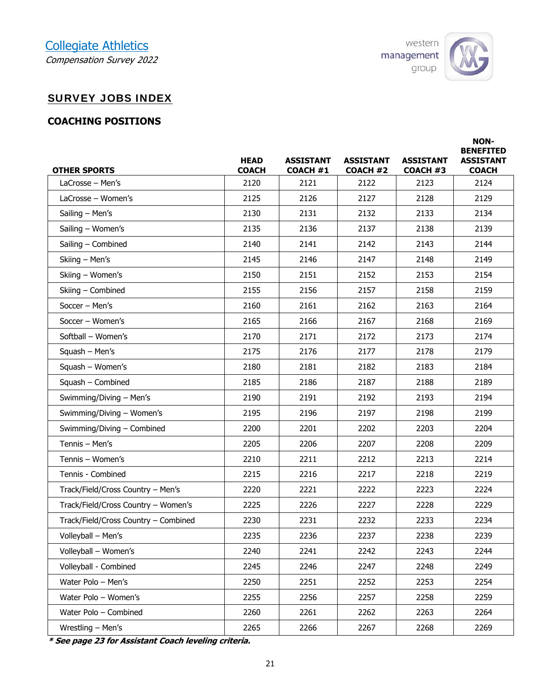## Collegiate Athletics Compensation Survey 2022



## SURVEY JOBS INDEX

## **COACHING POSITIONS**

| <b>OTHER SPORTS</b>                  | <b>HEAD</b><br><b>COACH</b> | <b>ASSISTANT</b><br><b>COACH #1</b> | <b>ASSISTANT</b><br><b>COACH #2</b> | <b>ASSISTANT</b><br>COACH #3 | <b>NON-</b><br><b>BENEFITED</b><br><b>ASSISTANT</b><br><b>COACH</b> |
|--------------------------------------|-----------------------------|-------------------------------------|-------------------------------------|------------------------------|---------------------------------------------------------------------|
| $LaCrosse - Men's$                   | 2120                        | 2121                                | 2122                                | 2123                         | 2124                                                                |
| LaCrosse - Women's                   | 2125                        | 2126                                | 2127                                | 2128                         | 2129                                                                |
| Sailing - Men's                      | 2130                        | 2131                                | 2132                                | 2133                         | 2134                                                                |
| Sailing - Women's                    | 2135                        | 2136                                | 2137                                | 2138                         | 2139                                                                |
| Sailing - Combined                   | 2140                        | 2141                                | 2142                                | 2143                         | 2144                                                                |
| Skiing - Men's                       | 2145                        | 2146                                | 2147                                | 2148                         | 2149                                                                |
| Skiing - Women's                     | 2150                        | 2151                                | 2152                                | 2153                         | 2154                                                                |
| Skiing - Combined                    | 2155                        | 2156                                | 2157                                | 2158                         | 2159                                                                |
| Soccer - Men's                       | 2160                        | 2161                                | 2162                                | 2163                         | 2164                                                                |
| Soccer - Women's                     | 2165                        | 2166                                | 2167                                | 2168                         | 2169                                                                |
| Softball - Women's                   | 2170                        | 2171                                | 2172                                | 2173                         | 2174                                                                |
| Squash - Men's                       | 2175                        | 2176                                | 2177                                | 2178                         | 2179                                                                |
| Squash - Women's                     | 2180                        | 2181                                | 2182                                | 2183                         | 2184                                                                |
| Squash - Combined                    | 2185                        | 2186                                | 2187                                | 2188                         | 2189                                                                |
| Swimming/Diving - Men's              | 2190                        | 2191                                | 2192                                | 2193                         | 2194                                                                |
| Swimming/Diving - Women's            | 2195                        | 2196                                | 2197                                | 2198                         | 2199                                                                |
| Swimming/Diving - Combined           | 2200                        | 2201                                | 2202                                | 2203                         | 2204                                                                |
| Tennis - Men's                       | 2205                        | 2206                                | 2207                                | 2208                         | 2209                                                                |
| Tennis - Women's                     | 2210                        | 2211                                | 2212                                | 2213                         | 2214                                                                |
| Tennis - Combined                    | 2215                        | 2216                                | 2217                                | 2218                         | 2219                                                                |
| Track/Field/Cross Country - Men's    | 2220                        | 2221                                | 2222                                | 2223                         | 2224                                                                |
| Track/Field/Cross Country - Women's  | 2225                        | 2226                                | 2227                                | 2228                         | 2229                                                                |
| Track/Field/Cross Country - Combined | 2230                        | 2231                                | 2232                                | 2233                         | 2234                                                                |
| Volleyball - Men's                   | 2235                        | 2236                                | 2237                                | 2238                         | 2239                                                                |
| Volleyball - Women's                 | 2240                        | 2241                                | 2242                                | 2243                         | 2244                                                                |
| Volleyball - Combined                | 2245                        | 2246                                | 2247                                | 2248                         | 2249                                                                |
| Water Polo - Men's                   | 2250                        | 2251                                | 2252                                | 2253                         | 2254                                                                |
| Water Polo - Women's                 | 2255                        | 2256                                | 2257                                | 2258                         | 2259                                                                |
| Water Polo - Combined                | 2260                        | 2261                                | 2262                                | 2263                         | 2264                                                                |
| Wrestling - Men's                    | 2265                        | 2266                                | 2267                                | 2268                         | 2269                                                                |

**\* See page 23 for Assistant Coach leveling criteria.**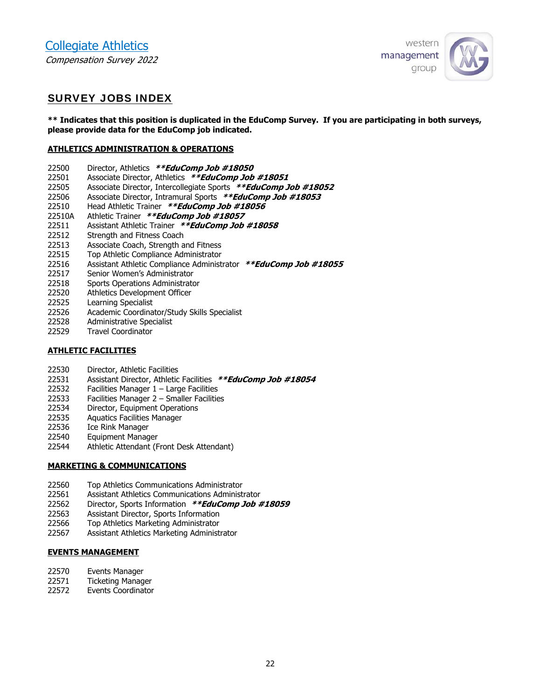

## SURVEY JOBS INDEX

**\*\* Indicates that this position is duplicated in the EduComp Survey. If you are participating in both surveys, please provide data for the EduComp job indicated.** 

#### **ATHLETICS ADMINISTRATION & OPERATIONS**

- 22500 Director, Athletics **\*\*EduComp Job #18050**
- 22501 Associate Director, Athletics **\*\*EduComp Job #18051**
- 22505 Associate Director, Intercollegiate Sports **\*\*EduComp Job #18052**
- 22506 Associate Director, Intramural Sports **\*\*EduComp Job #18053**
- 22510 Head Athletic Trainer **\*\*EduComp Job #18056**
- 22510A Athletic Trainer **\*\*EduComp Job #18057**
- 22511 Assistant Athletic Trainer **\*\*EduComp Job #18058**
- 22512 Strength and Fitness Coach
- 22513 Associate Coach, Strength and Fitness
- 22515 Top Athletic Compliance Administrator
- 22516 Assistant Athletic Compliance Administrator **\*\*EduComp Job #18055**
- 22517 Senior Women's Administrator
- 22518 Sports Operations Administrator
- 22520 Athletics Development Officer
- 22525 Learning Specialist
- 22526 Academic Coordinator/Study Skills Specialist
- 22528 Administrative Specialist
- 22529 Travel Coordinator

#### **ATHLETIC FACILITIES**

- 22530 Director, Athletic Facilities
- 22531 Assistant Director, Athletic Facilities **\*\*EduComp Job #18054**
- 22532 Facilities Manager 1 Large Facilities
- 22533 Facilities Manager 2 Smaller Facilities
- 22534 Director, Equipment Operations
- 22535 Aquatics Facilities Manager
- 22536 Ice Rink Manager
- 22540 Equipment Manager
- 22544 Athletic Attendant (Front Desk Attendant)

#### **MARKETING & COMMUNICATIONS**

- 22560 Top Athletics Communications Administrator
- 22561 Assistant Athletics Communications Administrator
- 22562 Director, Sports Information **\*\*EduComp Job #18059**
- 22563 Assistant Director, Sports Information
- 22566 Top Athletics Marketing Administrator
- 22567 Assistant Athletics Marketing Administrator

### **EVENTS MANAGEMENT**

- 22570 Events Manager
- 22571 Ticketing Manager
- 22572 Events Coordinator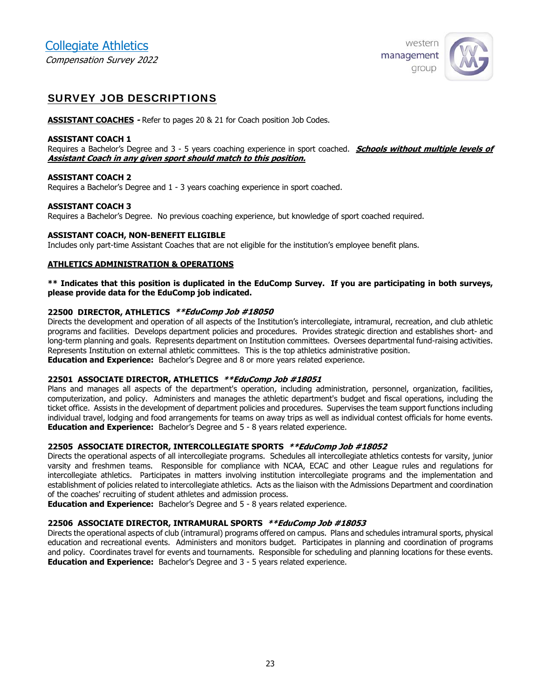

## SURVEY JOB DESCRIPTIONS

**ASSISTANT COACHES -** Refer to pages 20 & 21 for Coach position Job Codes.

#### **ASSISTANT COACH 1**

Requires a Bachelor's Degree and 3 - 5 years coaching experience in sport coached. **Schools without multiple levels of Assistant Coach in any given sport should match to this position.** 

#### **ASSISTANT COACH 2**

Requires a Bachelor's Degree and 1 - 3 years coaching experience in sport coached.

#### **ASSISTANT COACH 3**

Requires a Bachelor's Degree. No previous coaching experience, but knowledge of sport coached required.

#### **ASSISTANT COACH, NON-BENEFIT ELIGIBLE**

Includes only part-time Assistant Coaches that are not eligible for the institution's employee benefit plans.

#### **ATHLETICS ADMINISTRATION & OPERATIONS**

**\*\* Indicates that this position is duplicated in the EduComp Survey. If you are participating in both surveys, please provide data for the EduComp job indicated.** 

#### **22500 DIRECTOR, ATHLETICS \*\*EduComp Job #18050**

Directs the development and operation of all aspects of the Institution's intercollegiate, intramural, recreation, and club athletic programs and facilities. Develops department policies and procedures. Provides strategic direction and establishes short- and long-term planning and goals. Represents department on Institution committees. Oversees departmental fund-raising activities. Represents Institution on external athletic committees. This is the top athletics administrative position. **Education and Experience:** Bachelor's Degree and 8 or more years related experience.

#### **22501 ASSOCIATE DIRECTOR, ATHLETICS \*\*EduComp Job #18051**

Plans and manages all aspects of the department's operation, including administration, personnel, organization, facilities, computerization, and policy. Administers and manages the athletic department's budget and fiscal operations, including the ticket office. Assists in the development of department policies and procedures. Supervises the team support functions including individual travel, lodging and food arrangements for teams on away trips as well as individual contest officials for home events. **Education and Experience:** Bachelor's Degree and 5 - 8 years related experience.

#### **22505 ASSOCIATE DIRECTOR, INTERCOLLEGIATE SPORTS \*\*EduComp Job #18052**

Directs the operational aspects of all intercollegiate programs. Schedules all intercollegiate athletics contests for varsity, junior varsity and freshmen teams. Responsible for compliance with NCAA, ECAC and other League rules and regulations for intercollegiate athletics. Participates in matters involving institution intercollegiate programs and the implementation and establishment of policies related to intercollegiate athletics. Acts as the liaison with the Admissions Department and coordination of the coaches' recruiting of student athletes and admission process.

**Education and Experience:** Bachelor's Degree and 5 - 8 years related experience.

### **22506 ASSOCIATE DIRECTOR, INTRAMURAL SPORTS \*\*EduComp Job #18053**

Directs the operational aspects of club (intramural) programs offered on campus. Plans and schedules intramural sports, physical education and recreational events. Administers and monitors budget. Participates in planning and coordination of programs and policy. Coordinates travel for events and tournaments. Responsible for scheduling and planning locations for these events. **Education and Experience:** Bachelor's Degree and 3 - 5 years related experience.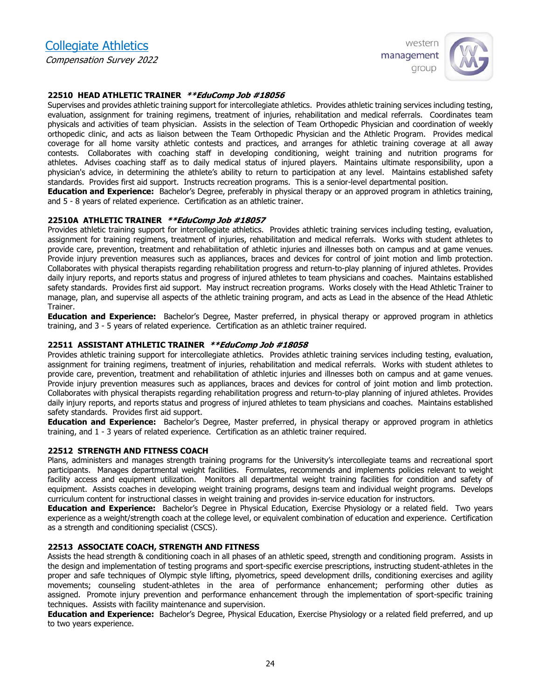Collegiate Athletics Compensation Survey 2022



#### **22510 HEAD ATHLETIC TRAINER \*\*EduComp Job #18056**

Supervises and provides athletic training support for intercollegiate athletics. Provides athletic training services including testing, evaluation, assignment for training regimens, treatment of injuries, rehabilitation and medical referrals. Coordinates team physicals and activities of team physician. Assists in the selection of Team Orthopedic Physician and coordination of weekly orthopedic clinic, and acts as liaison between the Team Orthopedic Physician and the Athletic Program. Provides medical coverage for all home varsity athletic contests and practices, and arranges for athletic training coverage at all away contests. Collaborates with coaching staff in developing conditioning, weight training and nutrition programs for athletes. Advises coaching staff as to daily medical status of injured players. Maintains ultimate responsibility, upon a physician's advice, in determining the athlete's ability to return to participation at any level. Maintains established safety standards. Provides first aid support. Instructs recreation programs. This is a senior-level departmental position.

**Education and Experience:** Bachelor's Degree, preferably in physical therapy or an approved program in athletics training, and 5 - 8 years of related experience. Certification as an athletic trainer.

#### **22510A ATHLETIC TRAINER \*\*EduComp Job #18057**

Provides athletic training support for intercollegiate athletics. Provides athletic training services including testing, evaluation, assignment for training regimens, treatment of injuries, rehabilitation and medical referrals. Works with student athletes to provide care, prevention, treatment and rehabilitation of athletic injuries and illnesses both on campus and at game venues. Provide injury prevention measures such as appliances, braces and devices for control of joint motion and limb protection. Collaborates with physical therapists regarding rehabilitation progress and return-to-play planning of injured athletes. Provides daily injury reports, and reports status and progress of injured athletes to team physicians and coaches. Maintains established safety standards. Provides first aid support. May instruct recreation programs. Works closely with the Head Athletic Trainer to manage, plan, and supervise all aspects of the athletic training program, and acts as Lead in the absence of the Head Athletic Trainer.

**Education and Experience:** Bachelor's Degree, Master preferred, in physical therapy or approved program in athletics training, and 3 - 5 years of related experience. Certification as an athletic trainer required.

#### **22511 ASSISTANT ATHLETIC TRAINER \*\*EduComp Job #18058**

Provides athletic training support for intercollegiate athletics. Provides athletic training services including testing, evaluation, assignment for training regimens, treatment of injuries, rehabilitation and medical referrals. Works with student athletes to provide care, prevention, treatment and rehabilitation of athletic injuries and illnesses both on campus and at game venues. Provide injury prevention measures such as appliances, braces and devices for control of joint motion and limb protection. Collaborates with physical therapists regarding rehabilitation progress and return-to-play planning of injured athletes. Provides daily injury reports, and reports status and progress of injured athletes to team physicians and coaches. Maintains established safety standards. Provides first aid support.

**Education and Experience:** Bachelor's Degree, Master preferred, in physical therapy or approved program in athletics training, and 1 - 3 years of related experience. Certification as an athletic trainer required.

#### **22512 STRENGTH AND FITNESS COACH**

Plans, administers and manages strength training programs for the University's intercollegiate teams and recreational sport participants. Manages departmental weight facilities. Formulates, recommends and implements policies relevant to weight facility access and equipment utilization. Monitors all departmental weight training facilities for condition and safety of equipment. Assists coaches in developing weight training programs, designs team and individual weight programs. Develops curriculum content for instructional classes in weight training and provides in-service education for instructors.

**Education and Experience:** Bachelor's Degree in Physical Education, Exercise Physiology or a related field. Two years experience as a weight/strength coach at the college level, or equivalent combination of education and experience. Certification as a strength and conditioning specialist (CSCS).

#### **22513 ASSOCIATE COACH, STRENGTH AND FITNESS**

Assists the head strength & conditioning coach in all phases of an athletic speed, strength and conditioning program. Assists in the design and implementation of testing programs and sport-specific exercise prescriptions, instructing student-athletes in the proper and safe techniques of Olympic style lifting, plyometrics, speed development drills, conditioning exercises and agility movements; counseling student-athletes in the area of performance enhancement; performing other duties as assigned. Promote injury prevention and performance enhancement through the implementation of sport-specific training techniques. Assists with facility maintenance and supervision.

**Education and Experience:** Bachelor's Degree, Physical Education, Exercise Physiology or a related field preferred, and up to two years experience.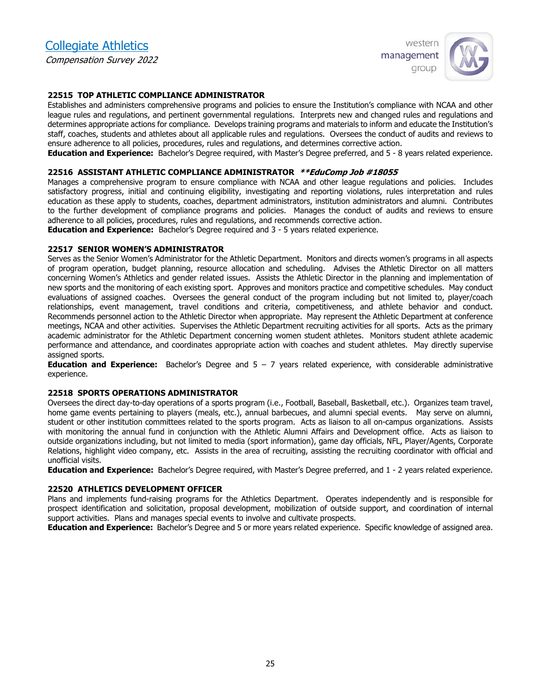

#### **22515 TOP ATHLETIC COMPLIANCE ADMINISTRATOR**

Establishes and administers comprehensive programs and policies to ensure the Institution's compliance with NCAA and other league rules and regulations, and pertinent governmental regulations. Interprets new and changed rules and regulations and determines appropriate actions for compliance. Develops training programs and materials to inform and educate the Institution's staff, coaches, students and athletes about all applicable rules and regulations. Oversees the conduct of audits and reviews to ensure adherence to all policies, procedures, rules and regulations, and determines corrective action.

**Education and Experience:** Bachelor's Degree required, with Master's Degree preferred, and 5 - 8 years related experience.

#### **22516 ASSISTANT ATHLETIC COMPLIANCE ADMINISTRATOR \*\*EduComp Job #18055**

Manages a comprehensive program to ensure compliance with NCAA and other league regulations and policies. Includes satisfactory progress, initial and continuing eligibility, investigating and reporting violations, rules interpretation and rules education as these apply to students, coaches, department administrators, institution administrators and alumni. Contributes to the further development of compliance programs and policies. Manages the conduct of audits and reviews to ensure adherence to all policies, procedures, rules and regulations, and recommends corrective action.

**Education and Experience:** Bachelor's Degree required and 3 - 5 years related experience.

#### **22517 SENIOR WOMEN'S ADMINISTRATOR**

Serves as the Senior Women's Administrator for the Athletic Department. Monitors and directs women's programs in all aspects of program operation, budget planning, resource allocation and scheduling. Advises the Athletic Director on all matters concerning Women's Athletics and gender related issues. Assists the Athletic Director in the planning and implementation of new sports and the monitoring of each existing sport. Approves and monitors practice and competitive schedules. May conduct evaluations of assigned coaches. Oversees the general conduct of the program including but not limited to, player/coach relationships, event management, travel conditions and criteria, competitiveness, and athlete behavior and conduct. Recommends personnel action to the Athletic Director when appropriate. May represent the Athletic Department at conference meetings, NCAA and other activities. Supervises the Athletic Department recruiting activities for all sports. Acts as the primary academic administrator for the Athletic Department concerning women student athletes. Monitors student athlete academic performance and attendance, and coordinates appropriate action with coaches and student athletes. May directly supervise assigned sports.

**Education and Experience:** Bachelor's Degree and 5 – 7 years related experience, with considerable administrative experience.

#### **22518 SPORTS OPERATIONS ADMINISTRATOR**

Oversees the direct day-to-day operations of a sports program (i.e., Football, Baseball, Basketball, etc.). Organizes team travel, home game events pertaining to players (meals, etc.), annual barbecues, and alumni special events. May serve on alumni, student or other institution committees related to the sports program. Acts as liaison to all on-campus organizations. Assists with monitoring the annual fund in conjunction with the Athletic Alumni Affairs and Development office. Acts as liaison to outside organizations including, but not limited to media (sport information), game day officials, NFL, Player/Agents, Corporate Relations, highlight video company, etc. Assists in the area of recruiting, assisting the recruiting coordinator with official and unofficial visits.

**Education and Experience:** Bachelor's Degree required, with Master's Degree preferred, and 1 - 2 years related experience.

#### **22520 ATHLETICS DEVELOPMENT OFFICER**

Plans and implements fund-raising programs for the Athletics Department. Operates independently and is responsible for prospect identification and solicitation, proposal development, mobilization of outside support, and coordination of internal support activities. Plans and manages special events to involve and cultivate prospects.

**Education and Experience:** Bachelor's Degree and 5 or more years related experience. Specific knowledge of assigned area.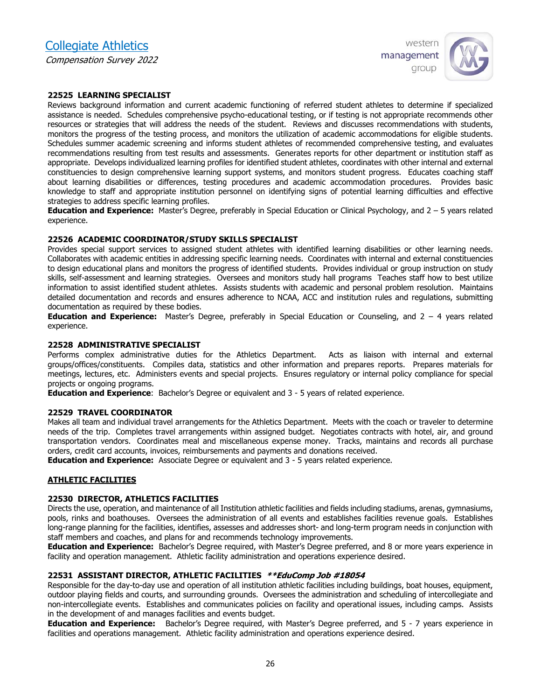

#### **22525 LEARNING SPECIALIST**

Reviews background information and current academic functioning of referred student athletes to determine if specialized assistance is needed. Schedules comprehensive psycho-educational testing, or if testing is not appropriate recommends other resources or strategies that will address the needs of the student. Reviews and discusses recommendations with students, monitors the progress of the testing process, and monitors the utilization of academic accommodations for eligible students. Schedules summer academic screening and informs student athletes of recommended comprehensive testing, and evaluates recommendations resulting from test results and assessments. Generates reports for other department or institution staff as appropriate. Develops individualized learning profiles for identified student athletes, coordinates with other internal and external constituencies to design comprehensive learning support systems, and monitors student progress. Educates coaching staff about learning disabilities or differences, testing procedures and academic accommodation procedures. Provides basic knowledge to staff and appropriate institution personnel on identifying signs of potential learning difficulties and effective strategies to address specific learning profiles.

**Education and Experience:** Master's Degree, preferably in Special Education or Clinical Psychology, and 2 – 5 years related experience.

#### **22526 ACADEMIC COORDINATOR/STUDY SKILLS SPECIALIST**

Provides special support services to assigned student athletes with identified learning disabilities or other learning needs. Collaborates with academic entities in addressing specific learning needs. Coordinates with internal and external constituencies to design educational plans and monitors the progress of identified students. Provides individual or group instruction on study skills, self-assessment and learning strategies. Oversees and monitors study hall programs Teaches staff how to best utilize information to assist identified student athletes. Assists students with academic and personal problem resolution. Maintains detailed documentation and records and ensures adherence to NCAA, ACC and institution rules and regulations, submitting documentation as required by these bodies.

**Education and Experience:** Master's Degree, preferably in Special Education or Counseling, and 2 – 4 years related experience.

#### **22528 ADMINISTRATIVE SPECIALIST**

Performs complex administrative duties for the Athletics Department. Acts as liaison with internal and external groups/offices/constituents. Compiles data, statistics and other information and prepares reports. Prepares materials for meetings, lectures, etc. Administers events and special projects. Ensures regulatory or internal policy compliance for special projects or ongoing programs.

**Education and Experience**: Bachelor's Degree or equivalent and 3 - 5 years of related experience.

#### **22529 TRAVEL COORDINATOR**

Makes all team and individual travel arrangements for the Athletics Department. Meets with the coach or traveler to determine needs of the trip. Completes travel arrangements within assigned budget. Negotiates contracts with hotel, air, and ground transportation vendors. Coordinates meal and miscellaneous expense money. Tracks, maintains and records all purchase orders, credit card accounts, invoices, reimbursements and payments and donations received.

**Education and Experience:** Associate Degree or equivalent and 3 - 5 years related experience.

#### **ATHLETIC FACILITIES**

#### **22530 DIRECTOR, ATHLETICS FACILITIES**

Directs the use, operation, and maintenance of all Institution athletic facilities and fields including stadiums, arenas, gymnasiums, pools, rinks and boathouses. Oversees the administration of all events and establishes facilities revenue goals. Establishes long-range planning for the facilities, identifies, assesses and addresses short- and long-term program needs in conjunction with staff members and coaches, and plans for and recommends technology improvements.

**Education and Experience:** Bachelor's Degree required, with Master's Degree preferred, and 8 or more years experience in facility and operation management. Athletic facility administration and operations experience desired.

#### **22531 ASSISTANT DIRECTOR, ATHLETIC FACILITIES \*\*EduComp Job #18054**

Responsible for the day-to-day use and operation of all institution athletic facilities including buildings, boat houses, equipment, outdoor playing fields and courts, and surrounding grounds. Oversees the administration and scheduling of intercollegiate and non-intercollegiate events. Establishes and communicates policies on facility and operational issues, including camps. Assists in the development of and manages facilities and events budget.

**Education and Experience:** Bachelor's Degree required, with Master's Degree preferred, and 5 - 7 years experience in facilities and operations management. Athletic facility administration and operations experience desired.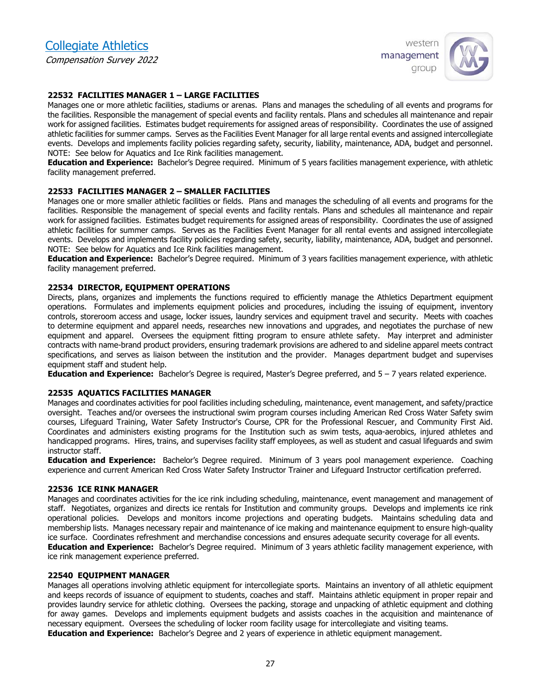# Collegiate Athletics

Compensation Survey 2022



#### **22532 FACILITIES MANAGER 1 – LARGE FACILITIES**

Manages one or more athletic facilities, stadiums or arenas. Plans and manages the scheduling of all events and programs for the facilities. Responsible the management of special events and facility rentals. Plans and schedules all maintenance and repair work for assigned facilities. Estimates budget requirements for assigned areas of responsibility. Coordinates the use of assigned athletic facilities for summer camps. Serves as the Facilities Event Manager for all large rental events and assigned intercollegiate events. Develops and implements facility policies regarding safety, security, liability, maintenance, ADA, budget and personnel. NOTE: See below for Aquatics and Ice Rink facilities management.

**Education and Experience:** Bachelor's Degree required. Minimum of 5 years facilities management experience, with athletic facility management preferred.

#### **22533 FACILITIES MANAGER 2 – SMALLER FACILITIES**

Manages one or more smaller athletic facilities or fields. Plans and manages the scheduling of all events and programs for the facilities. Responsible the management of special events and facility rentals. Plans and schedules all maintenance and repair work for assigned facilities. Estimates budget requirements for assigned areas of responsibility. Coordinates the use of assigned athletic facilities for summer camps. Serves as the Facilities Event Manager for all rental events and assigned intercollegiate events. Develops and implements facility policies regarding safety, security, liability, maintenance, ADA, budget and personnel. NOTE: See below for Aquatics and Ice Rink facilities management.

**Education and Experience:** Bachelor's Degree required. Minimum of 3 years facilities management experience, with athletic facility management preferred.

#### **22534 DIRECTOR, EQUIPMENT OPERATIONS**

Directs, plans, organizes and implements the functions required to efficiently manage the Athletics Department equipment operations. Formulates and implements equipment policies and procedures, including the issuing of equipment, inventory controls, storeroom access and usage, locker issues, laundry services and equipment travel and security. Meets with coaches to determine equipment and apparel needs, researches new innovations and upgrades, and negotiates the purchase of new equipment and apparel. Oversees the equipment fitting program to ensure athlete safety. May interpret and administer contracts with name-brand product providers, ensuring trademark provisions are adhered to and sideline apparel meets contract specifications, and serves as liaison between the institution and the provider. Manages department budget and supervises equipment staff and student help.

**Education and Experience:** Bachelor's Degree is required, Master's Degree preferred, and 5 – 7 years related experience.

#### **22535 AQUATICS FACILITIES MANAGER**

Manages and coordinates activities for pool facilities including scheduling, maintenance, event management, and safety/practice oversight. Teaches and/or oversees the instructional swim program courses including American Red Cross Water Safety swim courses, Lifeguard Training, Water Safety Instructor's Course, CPR for the Professional Rescuer, and Community First Aid. Coordinates and administers existing programs for the Institution such as swim tests, aqua-aerobics, injured athletes and handicapped programs. Hires, trains, and supervises facility staff employees, as well as student and casual lifeguards and swim instructor staff.

**Education and Experience:** Bachelor's Degree required. Minimum of 3 years pool management experience. Coaching experience and current American Red Cross Water Safety Instructor Trainer and Lifeguard Instructor certification preferred.

#### **22536 ICE RINK MANAGER**

Manages and coordinates activities for the ice rink including scheduling, maintenance, event management and management of staff. Negotiates, organizes and directs ice rentals for Institution and community groups. Develops and implements ice rink operational policies. Develops and monitors income projections and operating budgets. Maintains scheduling data and membership lists. Manages necessary repair and maintenance of ice making and maintenance equipment to ensure high-quality ice surface. Coordinates refreshment and merchandise concessions and ensures adequate security coverage for all events. **Education and Experience:** Bachelor's Degree required. Minimum of 3 years athletic facility management experience, with ice rink management experience preferred.

#### **22540 EQUIPMENT MANAGER**

Manages all operations involving athletic equipment for intercollegiate sports. Maintains an inventory of all athletic equipment and keeps records of issuance of equipment to students, coaches and staff. Maintains athletic equipment in proper repair and provides laundry service for athletic clothing. Oversees the packing, storage and unpacking of athletic equipment and clothing for away games. Develops and implements equipment budgets and assists coaches in the acquisition and maintenance of necessary equipment. Oversees the scheduling of locker room facility usage for intercollegiate and visiting teams. **Education and Experience:** Bachelor's Degree and 2 years of experience in athletic equipment management.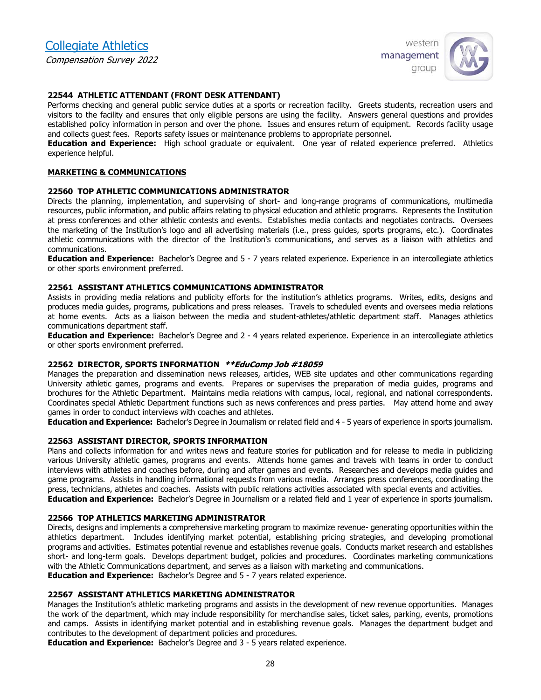

#### **22544 ATHLETIC ATTENDANT (FRONT DESK ATTENDANT)**

Performs checking and general public service duties at a sports or recreation facility. Greets students, recreation users and visitors to the facility and ensures that only eligible persons are using the facility. Answers general questions and provides established policy information in person and over the phone. Issues and ensures return of equipment. Records facility usage and collects guest fees. Reports safety issues or maintenance problems to appropriate personnel.

**Education and Experience:** High school graduate or equivalent. One year of related experience preferred. Athletics experience helpful.

#### **MARKETING & COMMUNICATIONS**

#### **22560 TOP ATHLETIC COMMUNICATIONS ADMINISTRATOR**

Directs the planning, implementation, and supervising of short- and long-range programs of communications, multimedia resources, public information, and public affairs relating to physical education and athletic programs. Represents the Institution at press conferences and other athletic contests and events. Establishes media contacts and negotiates contracts. Oversees the marketing of the Institution's logo and all advertising materials (i.e., press guides, sports programs, etc.). Coordinates athletic communications with the director of the Institution's communications, and serves as a liaison with athletics and communications.

**Education and Experience:** Bachelor's Degree and 5 - 7 years related experience. Experience in an intercollegiate athletics or other sports environment preferred.

#### **22561 ASSISTANT ATHLETICS COMMUNICATIONS ADMINISTRATOR**

Assists in providing media relations and publicity efforts for the institution's athletics programs. Writes, edits, designs and produces media guides, programs, publications and press releases. Travels to scheduled events and oversees media relations at home events. Acts as a liaison between the media and student-athletes/athletic department staff. Manages athletics communications department staff.

**Education and Experience:** Bachelor's Degree and 2 - 4 years related experience. Experience in an intercollegiate athletics or other sports environment preferred.

#### **22562 DIRECTOR, SPORTS INFORMATION \*\*EduComp Job #18059**

Manages the preparation and dissemination news releases, articles, WEB site updates and other communications regarding University athletic games, programs and events. Prepares or supervises the preparation of media guides, programs and brochures for the Athletic Department. Maintains media relations with campus, local, regional, and national correspondents. Coordinates special Athletic Department functions such as news conferences and press parties. May attend home and away games in order to conduct interviews with coaches and athletes.

**Education and Experience:** Bachelor's Degree in Journalism or related field and 4 - 5 years of experience in sports journalism.

#### **22563 ASSISTANT DIRECTOR, SPORTS INFORMATION**

Plans and collects information for and writes news and feature stories for publication and for release to media in publicizing various University athletic games, programs and events. Attends home games and travels with teams in order to conduct interviews with athletes and coaches before, during and after games and events. Researches and develops media guides and game programs. Assists in handling informational requests from various media. Arranges press conferences, coordinating the press, technicians, athletes and coaches. Assists with public relations activities associated with special events and activities. **Education and Experience:** Bachelor's Degree in Journalism or a related field and 1 year of experience in sports journalism.

#### **22566 TOP ATHLETICS MARKETING ADMINISTRATOR**

Directs, designs and implements a comprehensive marketing program to maximize revenue- generating opportunities within the athletics department. Includes identifying market potential, establishing pricing strategies, and developing promotional programs and activities. Estimates potential revenue and establishes revenue goals. Conducts market research and establishes short- and long-term goals. Develops department budget, policies and procedures. Coordinates marketing communications with the Athletic Communications department, and serves as a liaison with marketing and communications. **Education and Experience:** Bachelor's Degree and 5 - 7 years related experience.

#### **22567 ASSISTANT ATHLETICS MARKETING ADMINISTRATOR**

Manages the Institution's athletic marketing programs and assists in the development of new revenue opportunities. Manages the work of the department, which may include responsibility for merchandise sales, ticket sales, parking, events, promotions and camps. Assists in identifying market potential and in establishing revenue goals. Manages the department budget and contributes to the development of department policies and procedures.

**Education and Experience:** Bachelor's Degree and 3 - 5 years related experience.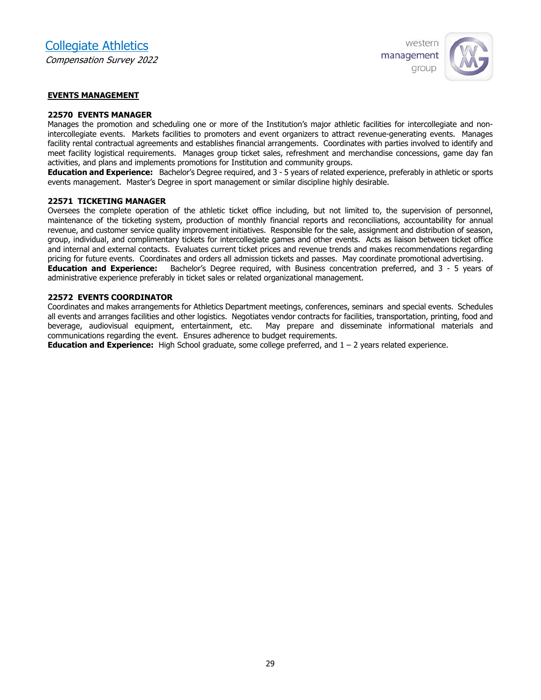

#### **EVENTS MANAGEMENT**

#### **22570 EVENTS MANAGER**

Manages the promotion and scheduling one or more of the Institution's major athletic facilities for intercollegiate and nonintercollegiate events. Markets facilities to promoters and event organizers to attract revenue-generating events. Manages facility rental contractual agreements and establishes financial arrangements. Coordinates with parties involved to identify and meet facility logistical requirements. Manages group ticket sales, refreshment and merchandise concessions, game day fan activities, and plans and implements promotions for Institution and community groups.

**Education and Experience:** Bachelor's Degree required, and 3 - 5 years of related experience, preferably in athletic or sports events management. Master's Degree in sport management or similar discipline highly desirable.

#### **22571 TICKETING MANAGER**

Oversees the complete operation of the athletic ticket office including, but not limited to, the supervision of personnel, maintenance of the ticketing system, production of monthly financial reports and reconciliations, accountability for annual revenue, and customer service quality improvement initiatives. Responsible for the sale, assignment and distribution of season, group, individual, and complimentary tickets for intercollegiate games and other events. Acts as liaison between ticket office and internal and external contacts. Evaluates current ticket prices and revenue trends and makes recommendations regarding pricing for future events. Coordinates and orders all admission tickets and passes. May coordinate promotional advertising.

**Education and Experience:** Bachelor's Degree required, with Business concentration preferred, and 3 - 5 years of administrative experience preferably in ticket sales or related organizational management.

#### **22572 EVENTS COORDINATOR**

Coordinates and makes arrangements for Athletics Department meetings, conferences, seminars and special events. Schedules all events and arranges facilities and other logistics. Negotiates vendor contracts for facilities, transportation, printing, food and beverage, audiovisual equipment, entertainment, etc. May prepare and disseminate informational materials and communications regarding the event. Ensures adherence to budget requirements.

**Education and Experience:** High School graduate, some college preferred, and 1 – 2 years related experience.